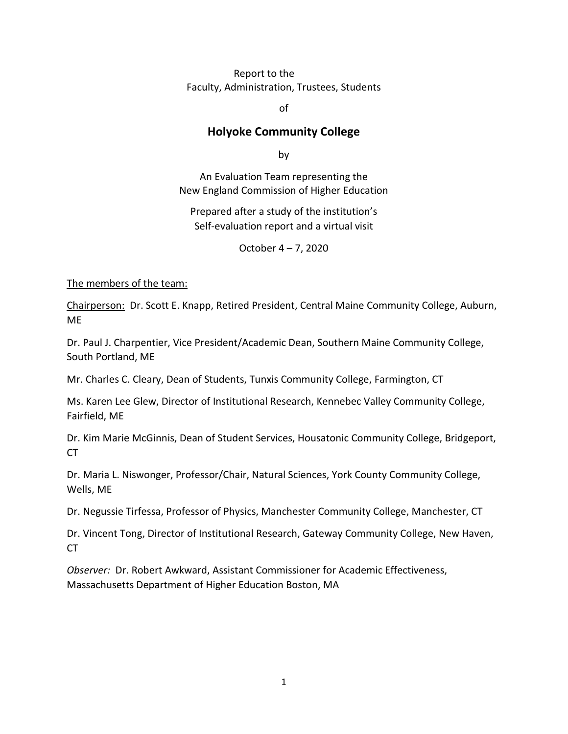#### Report to the Faculty, Administration, Trustees, Students

of

## **Holyoke Community College**

by

An Evaluation Team representing the New England Commission of Higher Education

Prepared after a study of the institution's Self-evaluation report and a virtual visit

October 4 – 7, 2020

The members of the team:

Chairperson: Dr. Scott E. Knapp, Retired President, Central Maine Community College, Auburn, ME

Dr. Paul J. Charpentier, Vice President/Academic Dean, Southern Maine Community College, South Portland, ME

Mr. Charles C. Cleary, Dean of Students, Tunxis Community College, Farmington, CT

Ms. Karen Lee Glew, Director of Institutional Research, Kennebec Valley Community College, Fairfield, ME

Dr. Kim Marie McGinnis, Dean of Student Services, Housatonic Community College, Bridgeport, CT

Dr. Maria L. Niswonger, Professor/Chair, Natural Sciences, York County Community College, Wells, ME

Dr. Negussie Tirfessa, Professor of Physics, Manchester Community College, Manchester, CT

Dr. Vincent Tong, Director of Institutional Research, Gateway Community College, New Haven, CT

*Observer:* Dr. Robert Awkward, Assistant Commissioner for Academic Effectiveness, Massachusetts Department of Higher Education Boston, MA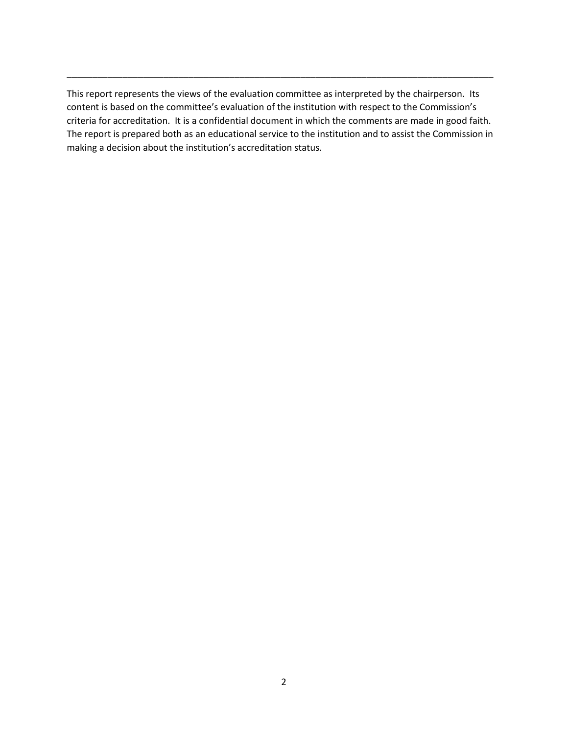This report represents the views of the evaluation committee as interpreted by the chairperson. Its content is based on the committee's evaluation of the institution with respect to the Commission's criteria for accreditation. It is a confidential document in which the comments are made in good faith. The report is prepared both as an educational service to the institution and to assist the Commission in making a decision about the institution's accreditation status.

\_\_\_\_\_\_\_\_\_\_\_\_\_\_\_\_\_\_\_\_\_\_\_\_\_\_\_\_\_\_\_\_\_\_\_\_\_\_\_\_\_\_\_\_\_\_\_\_\_\_\_\_\_\_\_\_\_\_\_\_\_\_\_\_\_\_\_\_\_\_\_\_\_\_\_\_\_\_\_\_\_\_\_\_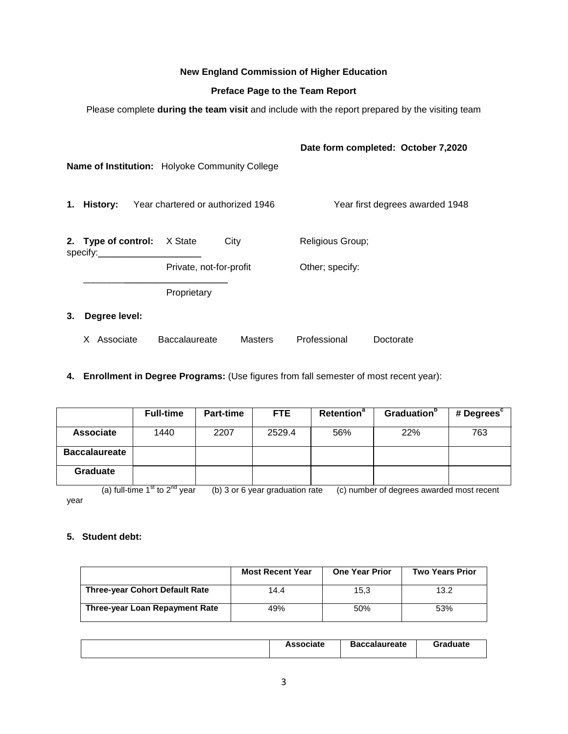#### **New England Commission of Higher Education**

#### **Preface Page to the Team Report**

Please complete **during the team visit** and include with the report prepared by the visiting team

|                                                |                                   |                |                  | Date form completed: October 7,2020 |
|------------------------------------------------|-----------------------------------|----------------|------------------|-------------------------------------|
| Name of Institution: Holyoke Community College |                                   |                |                  |                                     |
| 1. History:                                    | Year chartered or authorized 1946 |                |                  | Year first degrees awarded 1948     |
| 2. Type of control: X State<br>specify:___     |                                   | City           | Religious Group; |                                     |
|                                                | Private, not-for-profit           |                | Other; specify:  |                                     |
|                                                | Proprietary                       |                |                  |                                     |
| 3.<br>Degree level:                            |                                   |                |                  |                                     |
| X Associate                                    | <b>Baccalaureate</b>              | <b>Masters</b> | Professional     | Doctorate                           |

**4. Enrollment in Degree Programs:** (Use figures from fall semester of most recent year):

|                      | <b>Full-time</b> | Part-time | FTE.   | <b>Retention<sup>a</sup></b> | Graduation <sup>b</sup> | # Degrees <sup>c</sup> |
|----------------------|------------------|-----------|--------|------------------------------|-------------------------|------------------------|
| <b>Associate</b>     | 1440             | 2207      | 2529.4 | 56%                          | 22%                     | 763                    |
| <b>Baccalaureate</b> |                  |           |        |                              |                         |                        |
| <b>Graduate</b>      |                  |           |        |                              |                         |                        |

(a) full-time  $1^{st}$  to  $2^{nd}$  year (b) 3 or 6 year graduation rate (c) number of degrees awarded most recent year

#### **5. Student debt:**

|                                       | <b>Most Recent Year</b> | <b>One Year Prior</b> | <b>Two Years Prior</b> |
|---------------------------------------|-------------------------|-----------------------|------------------------|
| <b>Three-year Cohort Default Rate</b> | 14.4                    | 15.3                  | 13.2                   |
| Three-year Loan Repayment Rate        | 49%                     | 50%                   | 53%                    |

| <b>Associate</b> | <b>Baccalaureate</b> | <b>Graduate</b> |
|------------------|----------------------|-----------------|
|                  |                      |                 |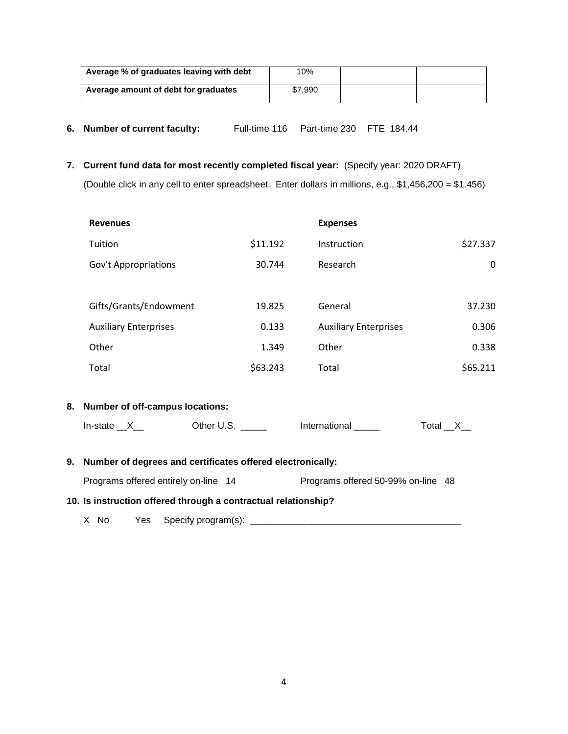| Average % of graduates leaving with debt | 10%     |  |
|------------------------------------------|---------|--|
| Average amount of debt for graduates     | \$7.990 |  |

- **6. Number of current faculty:** Full-time 116 Part-time 230 FTE 184.44
- **7. Current fund data for most recently completed fiscal year:** (Specify year: 2020 DRAFT) (Double click in any cell to enter spreadsheet. Enter dollars in millions, e.g., \$1,456,200 = \$1.456)

| <b>Revenues</b>                                                         |          | <b>Expenses</b>              |                  |
|-------------------------------------------------------------------------|----------|------------------------------|------------------|
| Tuition                                                                 | \$11.192 | Instruction                  | \$27.337         |
| Gov't Appropriations                                                    | 30.744   | Research                     | $\mathbf 0$      |
|                                                                         |          |                              |                  |
| Gifts/Grants/Endowment                                                  | 19.825   | General                      | 37.230           |
| <b>Auxiliary Enterprises</b>                                            | 0.133    | <b>Auxiliary Enterprises</b> | 0.306            |
| Other                                                                   | 1.349    | Other                        | 0.338            |
| Total                                                                   | \$63.243 | Total                        | \$65.211         |
|                                                                         |          |                              |                  |
| 8. Number of off-campus locations:                                      |          |                              |                  |
|                                                                         |          | International ______         | Total $_{X_{-}}$ |
|                                                                         |          |                              |                  |
| 9. Number of degrees and certificates offered electronically:           |          |                              |                  |
| Programs offered entirely on-line 14 Programs offered 50-99% on-line 48 |          |                              |                  |
| 10. Is instruction offered through a contractual relationship?          |          |                              |                  |
| X No                                                                    |          |                              |                  |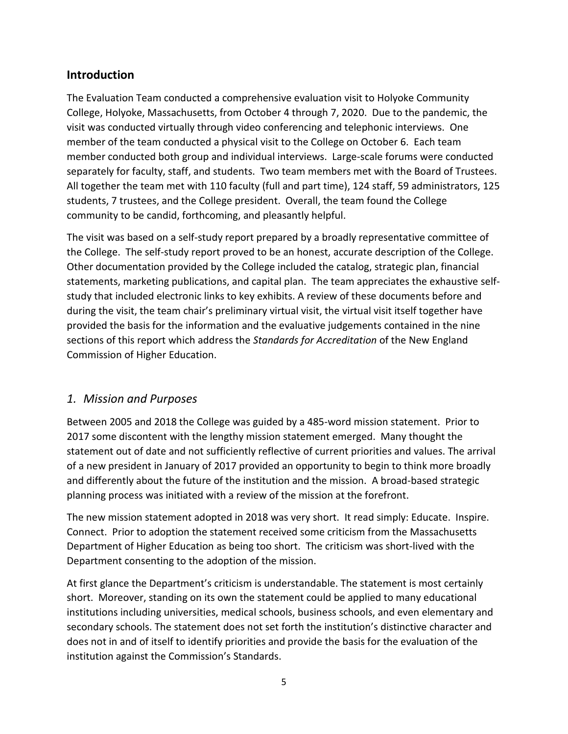# **Introduction**

The Evaluation Team conducted a comprehensive evaluation visit to Holyoke Community College, Holyoke, Massachusetts, from October 4 through 7, 2020. Due to the pandemic, the visit was conducted virtually through video conferencing and telephonic interviews. One member of the team conducted a physical visit to the College on October 6. Each team member conducted both group and individual interviews. Large-scale forums were conducted separately for faculty, staff, and students. Two team members met with the Board of Trustees. All together the team met with 110 faculty (full and part time), 124 staff, 59 administrators, 125 students, 7 trustees, and the College president. Overall, the team found the College community to be candid, forthcoming, and pleasantly helpful.

The visit was based on a self-study report prepared by a broadly representative committee of the College. The self-study report proved to be an honest, accurate description of the College. Other documentation provided by the College included the catalog, strategic plan, financial statements, marketing publications, and capital plan. The team appreciates the exhaustive selfstudy that included electronic links to key exhibits. A review of these documents before and during the visit, the team chair's preliminary virtual visit, the virtual visit itself together have provided the basis for the information and the evaluative judgements contained in the nine sections of this report which address the *Standards for Accreditation* of the New England Commission of Higher Education.

# *1. Mission and Purposes*

Between 2005 and 2018 the College was guided by a 485-word mission statement. Prior to 2017 some discontent with the lengthy mission statement emerged. Many thought the statement out of date and not sufficiently reflective of current priorities and values. The arrival of a new president in January of 2017 provided an opportunity to begin to think more broadly and differently about the future of the institution and the mission. A broad-based strategic planning process was initiated with a review of the mission at the forefront.

The new mission statement adopted in 2018 was very short. It read simply: Educate. Inspire. Connect. Prior to adoption the statement received some criticism from the Massachusetts Department of Higher Education as being too short. The criticism was short-lived with the Department consenting to the adoption of the mission.

At first glance the Department's criticism is understandable. The statement is most certainly short. Moreover, standing on its own the statement could be applied to many educational institutions including universities, medical schools, business schools, and even elementary and secondary schools. The statement does not set forth the institution's distinctive character and does not in and of itself to identify priorities and provide the basis for the evaluation of the institution against the Commission's Standards.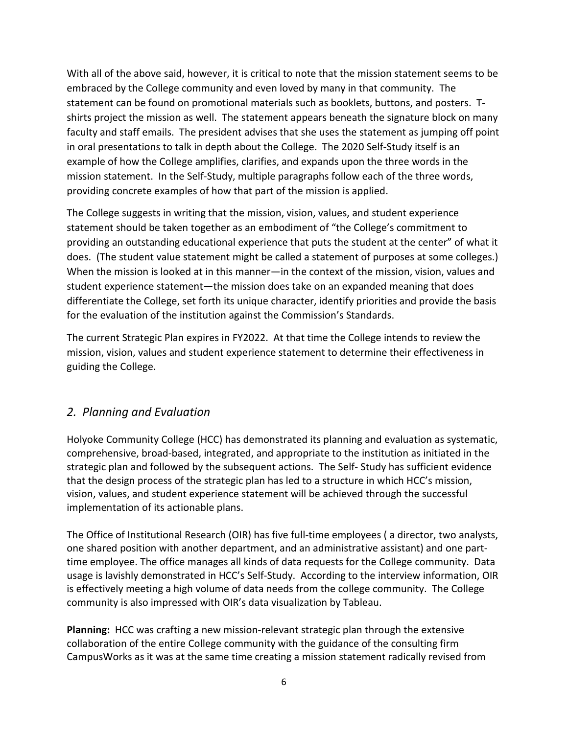With all of the above said, however, it is critical to note that the mission statement seems to be embraced by the College community and even loved by many in that community. The statement can be found on promotional materials such as booklets, buttons, and posters. Tshirts project the mission as well. The statement appears beneath the signature block on many faculty and staff emails. The president advises that she uses the statement as jumping off point in oral presentations to talk in depth about the College. The 2020 Self-Study itself is an example of how the College amplifies, clarifies, and expands upon the three words in the mission statement. In the Self-Study, multiple paragraphs follow each of the three words, providing concrete examples of how that part of the mission is applied.

The College suggests in writing that the mission, vision, values, and student experience statement should be taken together as an embodiment of "the College's commitment to providing an outstanding educational experience that puts the student at the center" of what it does. (The student value statement might be called a statement of purposes at some colleges.) When the mission is looked at in this manner—in the context of the mission, vision, values and student experience statement—the mission does take on an expanded meaning that does differentiate the College, set forth its unique character, identify priorities and provide the basis for the evaluation of the institution against the Commission's Standards.

The current Strategic Plan expires in FY2022. At that time the College intends to review the mission, vision, values and student experience statement to determine their effectiveness in guiding the College.

# *2. Planning and Evaluation*

Holyoke Community College (HCC) has demonstrated its planning and evaluation as systematic, comprehensive, broad-based, integrated, and appropriate to the institution as initiated in the strategic plan and followed by the subsequent actions. The Self- Study has sufficient evidence that the design process of the strategic plan has led to a structure in which HCC's mission, vision, values, and student experience statement will be achieved through the successful implementation of its actionable plans.

The Office of Institutional Research (OIR) has five full-time employees ( a director, two analysts, one shared position with another department, and an administrative assistant) and one parttime employee. The office manages all kinds of data requests for the College community. Data usage is lavishly demonstrated in HCC's Self-Study. According to the interview information, OIR is effectively meeting a high volume of data needs from the college community. The College community is also impressed with OIR's data visualization by Tableau.

**Planning:** HCC was crafting a new mission-relevant strategic plan through the extensive collaboration of the entire College community with the guidance of the consulting firm CampusWorks as it was at the same time creating a mission statement radically revised from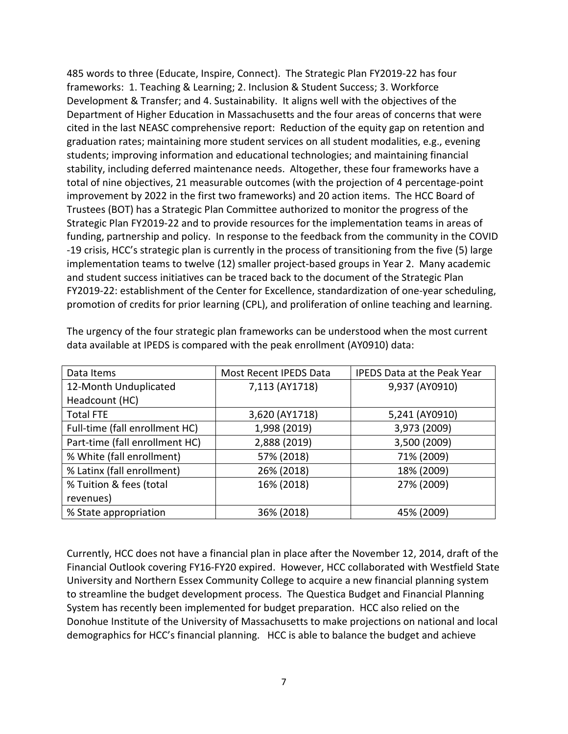485 words to three (Educate, Inspire, Connect). The Strategic Plan FY2019-22 has four frameworks: 1. Teaching & Learning; 2. Inclusion & Student Success; 3. Workforce Development & Transfer; and 4. Sustainability. It aligns well with the objectives of the Department of Higher Education in Massachusetts and the four areas of concerns that were cited in the last NEASC comprehensive report: Reduction of the equity gap on retention and graduation rates; maintaining more student services on all student modalities, e.g., evening students; improving information and educational technologies; and maintaining financial stability, including deferred maintenance needs. Altogether, these four frameworks have a total of nine objectives, 21 measurable outcomes (with the projection of 4 percentage-point improvement by 2022 in the first two frameworks) and 20 action items. The HCC Board of Trustees (BOT) has a Strategic Plan Committee authorized to monitor the progress of the Strategic Plan FY2019-22 and to provide resources for the implementation teams in areas of funding, partnership and policy. In response to the feedback from the community in the COVID -19 crisis, HCC's strategic plan is currently in the process of transitioning from the five (5) large implementation teams to twelve (12) smaller project-based groups in Year 2. Many academic and student success initiatives can be traced back to the document of the Strategic Plan FY2019-22: establishment of the Center for Excellence, standardization of one-year scheduling, promotion of credits for prior learning (CPL), and proliferation of online teaching and learning.

| Data Items                     | Most Recent IPEDS Data | <b>IPEDS Data at the Peak Year</b> |
|--------------------------------|------------------------|------------------------------------|
| 12-Month Unduplicated          | 7,113 (AY1718)         | 9,937 (AY0910)                     |
| Headcount (HC)                 |                        |                                    |
| <b>Total FTE</b>               | 3,620 (AY1718)         | 5,241 (AY0910)                     |
| Full-time (fall enrollment HC) | 1,998 (2019)           | 3,973 (2009)                       |
| Part-time (fall enrollment HC) | 2,888 (2019)           | 3,500 (2009)                       |
| % White (fall enrollment)      | 57% (2018)             | 71% (2009)                         |
| % Latinx (fall enrollment)     | 26% (2018)             | 18% (2009)                         |
| % Tuition & fees (total        | 16% (2018)             | 27% (2009)                         |
| revenues)                      |                        |                                    |
| % State appropriation          | 36% (2018)             | 45% (2009)                         |

The urgency of the four strategic plan frameworks can be understood when the most current data available at IPEDS is compared with the peak enrollment (AY0910) data:

Currently, HCC does not have a financial plan in place after the November 12, 2014, draft of the Financial Outlook covering FY16-FY20 expired. However, HCC collaborated with Westfield State University and Northern Essex Community College to acquire a new financial planning system to streamline the budget development process. The Questica Budget and Financial Planning System has recently been implemented for budget preparation. HCC also relied on the Donohue Institute of the University of Massachusetts to make projections on national and local demographics for HCC's financial planning. HCC is able to balance the budget and achieve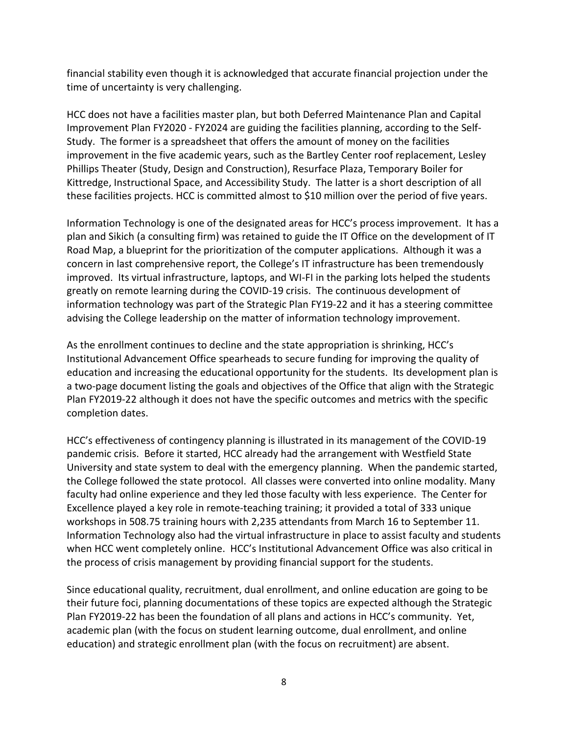financial stability even though it is acknowledged that accurate financial projection under the time of uncertainty is very challenging.

HCC does not have a facilities master plan, but both Deferred Maintenance Plan and Capital Improvement Plan FY2020 - FY2024 are guiding the facilities planning, according to the Self-Study. The former is a spreadsheet that offers the amount of money on the facilities improvement in the five academic years, such as the Bartley Center roof replacement, Lesley Phillips Theater (Study, Design and Construction), Resurface Plaza, Temporary Boiler for Kittredge, Instructional Space, and Accessibility Study. The latter is a short description of all these facilities projects. HCC is committed almost to \$10 million over the period of five years.

Information Technology is one of the designated areas for HCC's process improvement. It has a plan and Sikich (a consulting firm) was retained to guide the IT Office on the development of IT Road Map, a blueprint for the prioritization of the computer applications. Although it was a concern in last comprehensive report, the College's IT infrastructure has been tremendously improved. Its virtual infrastructure, laptops, and WI-FI in the parking lots helped the students greatly on remote learning during the COVID-19 crisis. The continuous development of information technology was part of the Strategic Plan FY19-22 and it has a steering committee advising the College leadership on the matter of information technology improvement.

As the enrollment continues to decline and the state appropriation is shrinking, HCC's Institutional Advancement Office spearheads to secure funding for improving the quality of education and increasing the educational opportunity for the students. Its development plan is a two-page document listing the goals and objectives of the Office that align with the Strategic Plan FY2019-22 although it does not have the specific outcomes and metrics with the specific completion dates.

HCC's effectiveness of contingency planning is illustrated in its management of the COVID-19 pandemic crisis. Before it started, HCC already had the arrangement with Westfield State University and state system to deal with the emergency planning. When the pandemic started, the College followed the state protocol. All classes were converted into online modality. Many faculty had online experience and they led those faculty with less experience. The Center for Excellence played a key role in remote-teaching training; it provided a total of 333 unique workshops in 508.75 training hours with 2,235 attendants from March 16 to September 11. Information Technology also had the virtual infrastructure in place to assist faculty and students when HCC went completely online. HCC's Institutional Advancement Office was also critical in the process of crisis management by providing financial support for the students.

Since educational quality, recruitment, dual enrollment, and online education are going to be their future foci, planning documentations of these topics are expected although the Strategic Plan FY2019-22 has been the foundation of all plans and actions in HCC's community. Yet, academic plan (with the focus on student learning outcome, dual enrollment, and online education) and strategic enrollment plan (with the focus on recruitment) are absent.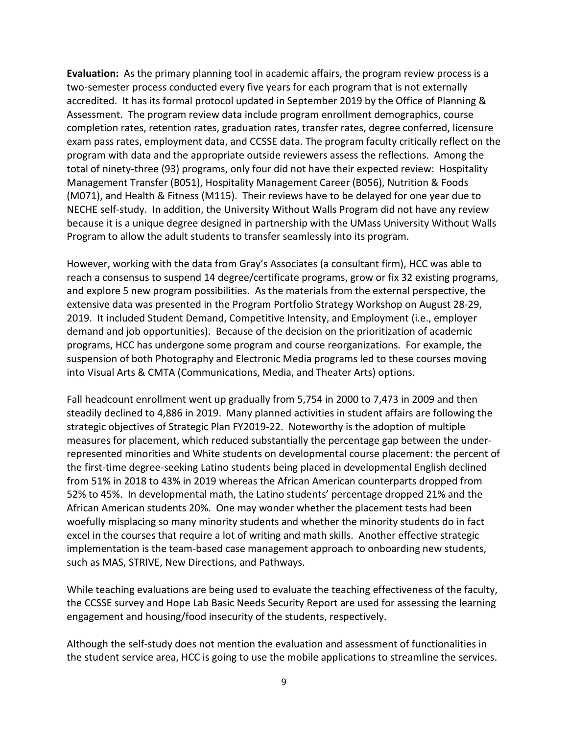**Evaluation:** As the primary planning tool in academic affairs, the program review process is a two-semester process conducted every five years for each program that is not externally accredited. It has its formal protocol updated in September 2019 by the Office of Planning & Assessment. The program review data include program enrollment demographics, course completion rates, retention rates, graduation rates, transfer rates, degree conferred, licensure exam pass rates, employment data, and CCSSE data. The program faculty critically reflect on the program with data and the appropriate outside reviewers assess the reflections. Among the total of ninety-three (93) programs, only four did not have their expected review: Hospitality Management Transfer (B051), Hospitality Management Career (B056), Nutrition & Foods (M071), and Health & Fitness (M115). Their reviews have to be delayed for one year due to NECHE self-study. In addition, the University Without Walls Program did not have any review because it is a unique degree designed in partnership with the UMass University Without Walls Program to allow the adult students to transfer seamlessly into its program.

However, working with the data from Gray's Associates (a consultant firm), HCC was able to reach a consensus to suspend 14 degree/certificate programs, grow or fix 32 existing programs, and explore 5 new program possibilities. As the materials from the external perspective, the extensive data was presented in the Program Portfolio Strategy Workshop on August 28-29, 2019. It included Student Demand, Competitive Intensity, and Employment (i.e., employer demand and job opportunities). Because of the decision on the prioritization of academic programs, HCC has undergone some program and course reorganizations. For example, the suspension of both Photography and Electronic Media programs led to these courses moving into Visual Arts & CMTA (Communications, Media, and Theater Arts) options.

Fall headcount enrollment went up gradually from 5,754 in 2000 to 7,473 in 2009 and then steadily declined to 4,886 in 2019. Many planned activities in student affairs are following the strategic objectives of Strategic Plan FY2019-22. Noteworthy is the adoption of multiple measures for placement, which reduced substantially the percentage gap between the underrepresented minorities and White students on developmental course placement: the percent of the first-time degree-seeking Latino students being placed in developmental English declined from 51% in 2018 to 43% in 2019 whereas the African American counterparts dropped from 52% to 45%. In developmental math, the Latino students' percentage dropped 21% and the African American students 20%. One may wonder whether the placement tests had been woefully misplacing so many minority students and whether the minority students do in fact excel in the courses that require a lot of writing and math skills. Another effective strategic implementation is the team-based case management approach to onboarding new students, such as MAS, STRIVE, New Directions, and Pathways.

While teaching evaluations are being used to evaluate the teaching effectiveness of the faculty, the CCSSE survey and Hope Lab Basic Needs Security Report are used for assessing the learning engagement and housing/food insecurity of the students, respectively.

Although the self-study does not mention the evaluation and assessment of functionalities in the student service area, HCC is going to use the mobile applications to streamline the services.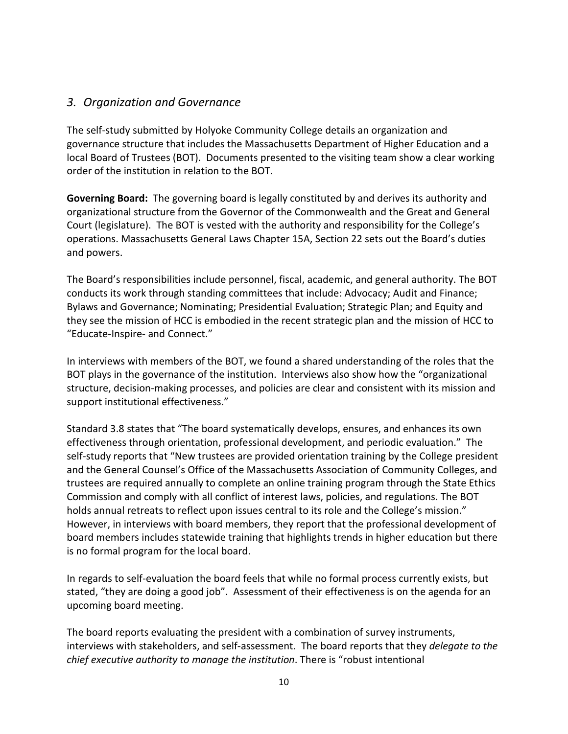### *3. Organization and Governance*

The self-study submitted by Holyoke Community College details an organization and governance structure that includes the Massachusetts Department of Higher Education and a local Board of Trustees (BOT). Documents presented to the visiting team show a clear working order of the institution in relation to the BOT.

**Governing Board:** The governing board is legally constituted by and derives its authority and organizational structure from the Governor of the Commonwealth and the Great and General Court (legislature). The BOT is vested with the authority and responsibility for the College's operations. Massachusetts General Laws Chapter 15A, Section 22 sets out the Board's duties and powers.

The Board's responsibilities include personnel, fiscal, academic, and general authority. The BOT conducts its work through standing committees that include: Advocacy; Audit and Finance; Bylaws and Governance; Nominating; Presidential Evaluation; Strategic Plan; and Equity and they see the mission of HCC is embodied in the recent strategic plan and the mission of HCC to "Educate-Inspire- and Connect."

In interviews with members of the BOT, we found a shared understanding of the roles that the BOT plays in the governance of the institution. Interviews also show how the "organizational structure, decision-making processes, and policies are clear and consistent with its mission and support institutional effectiveness."

Standard 3.8 states that "The board systematically develops, ensures, and enhances its own effectiveness through orientation, professional development, and periodic evaluation." The self-study reports that "New trustees are provided orientation training by the College president and the General Counsel's Office of the Massachusetts Association of Community Colleges, and trustees are required annually to complete an online training program through the State Ethics Commission and comply with all conflict of interest laws, policies, and regulations. The BOT holds annual retreats to reflect upon issues central to its role and the College's mission." However, in interviews with board members, they report that the professional development of board members includes statewide training that highlights trends in higher education but there is no formal program for the local board.

In regards to self-evaluation the board feels that while no formal process currently exists, but stated, "they are doing a good job". Assessment of their effectiveness is on the agenda for an upcoming board meeting.

The board reports evaluating the president with a combination of survey instruments, interviews with stakeholders, and self-assessment. The board reports that they *delegate to the chief executive authority to manage the institution*. There is "robust intentional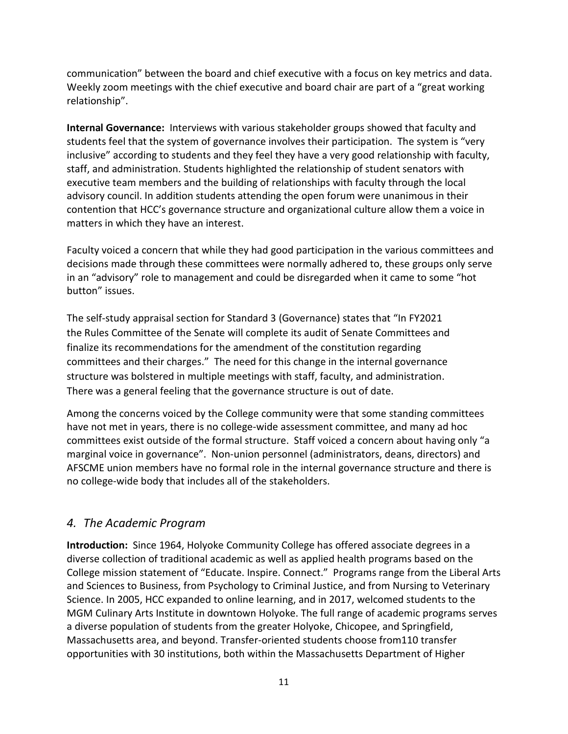communication" between the board and chief executive with a focus on key metrics and data. Weekly zoom meetings with the chief executive and board chair are part of a "great working relationship".

**Internal Governance:** Interviews with various stakeholder groups showed that faculty and students feel that the system of governance involves their participation. The system is "very inclusive" according to students and they feel they have a very good relationship with faculty, staff, and administration. Students highlighted the relationship of student senators with executive team members and the building of relationships with faculty through the local advisory council. In addition students attending the open forum were unanimous in their contention that HCC's governance structure and organizational culture allow them a voice in matters in which they have an interest.

Faculty voiced a concern that while they had good participation in the various committees and decisions made through these committees were normally adhered to, these groups only serve in an "advisory" role to management and could be disregarded when it came to some "hot button" issues.

The self-study appraisal section for Standard 3 (Governance) states that "In FY2021 the Rules Committee of the Senate will complete its audit of Senate Committees and finalize its recommendations for the amendment of the constitution regarding committees and their charges." The need for this change in the internal governance structure was bolstered in multiple meetings with staff, faculty, and administration. There was a general feeling that the governance structure is out of date.

Among the concerns voiced by the College community were that some standing committees have not met in years, there is no college-wide assessment committee, and many ad hoc committees exist outside of the formal structure. Staff voiced a concern about having only "a marginal voice in governance". Non-union personnel (administrators, deans, directors) and AFSCME union members have no formal role in the internal governance structure and there is no college-wide body that includes all of the stakeholders.

### *4. The Academic Program*

**Introduction:** Since 1964, Holyoke Community College has offered associate degrees in a diverse collection of traditional academic as well as applied health programs based on the College mission statement of "Educate. Inspire. Connect." Programs range from the Liberal Arts and Sciences to Business, from Psychology to Criminal Justice, and from Nursing to Veterinary Science. In 2005, HCC expanded to online learning, and in 2017, welcomed students to the MGM Culinary Arts Institute in downtown Holyoke. The full range of academic programs serves a diverse population of students from the greater Holyoke, Chicopee, and Springfield, Massachusetts area, and beyond. Transfer-oriented students choose from110 transfer opportunities with 30 institutions, both within the Massachusetts Department of Higher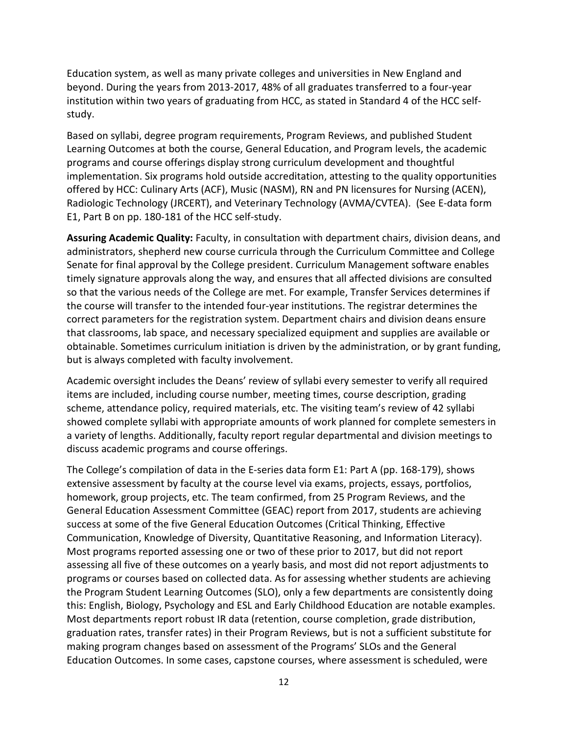Education system, as well as many private colleges and universities in New England and beyond. During the years from 2013-2017, 48% of all graduates transferred to a four-year institution within two years of graduating from HCC, as stated in Standard 4 of the HCC selfstudy.

Based on syllabi, degree program requirements, Program Reviews, and published Student Learning Outcomes at both the course, General Education, and Program levels, the academic programs and course offerings display strong curriculum development and thoughtful implementation. Six programs hold outside accreditation, attesting to the quality opportunities offered by HCC: Culinary Arts (ACF), Music (NASM), RN and PN licensures for Nursing (ACEN), Radiologic Technology (JRCERT), and Veterinary Technology (AVMA/CVTEA). (See E-data form E1, Part B on pp. 180-181 of the HCC self-study.

**Assuring Academic Quality:** Faculty, in consultation with department chairs, division deans, and administrators, shepherd new course curricula through the Curriculum Committee and College Senate for final approval by the College president. Curriculum Management software enables timely signature approvals along the way, and ensures that all affected divisions are consulted so that the various needs of the College are met. For example, Transfer Services determines if the course will transfer to the intended four-year institutions. The registrar determines the correct parameters for the registration system. Department chairs and division deans ensure that classrooms, lab space, and necessary specialized equipment and supplies are available or obtainable. Sometimes curriculum initiation is driven by the administration, or by grant funding, but is always completed with faculty involvement.

Academic oversight includes the Deans' review of syllabi every semester to verify all required items are included, including course number, meeting times, course description, grading scheme, attendance policy, required materials, etc. The visiting team's review of 42 syllabi showed complete syllabi with appropriate amounts of work planned for complete semesters in a variety of lengths. Additionally, faculty report regular departmental and division meetings to discuss academic programs and course offerings.

The College's compilation of data in the E-series data form E1: Part A (pp. 168-179), shows extensive assessment by faculty at the course level via exams, projects, essays, portfolios, homework, group projects, etc. The team confirmed, from 25 Program Reviews, and the General Education Assessment Committee (GEAC) report from 2017, students are achieving success at some of the five General Education Outcomes (Critical Thinking, Effective Communication, Knowledge of Diversity, Quantitative Reasoning, and Information Literacy). Most programs reported assessing one or two of these prior to 2017, but did not report assessing all five of these outcomes on a yearly basis, and most did not report adjustments to programs or courses based on collected data. As for assessing whether students are achieving the Program Student Learning Outcomes (SLO), only a few departments are consistently doing this: English, Biology, Psychology and ESL and Early Childhood Education are notable examples. Most departments report robust IR data (retention, course completion, grade distribution, graduation rates, transfer rates) in their Program Reviews, but is not a sufficient substitute for making program changes based on assessment of the Programs' SLOs and the General Education Outcomes. In some cases, capstone courses, where assessment is scheduled, were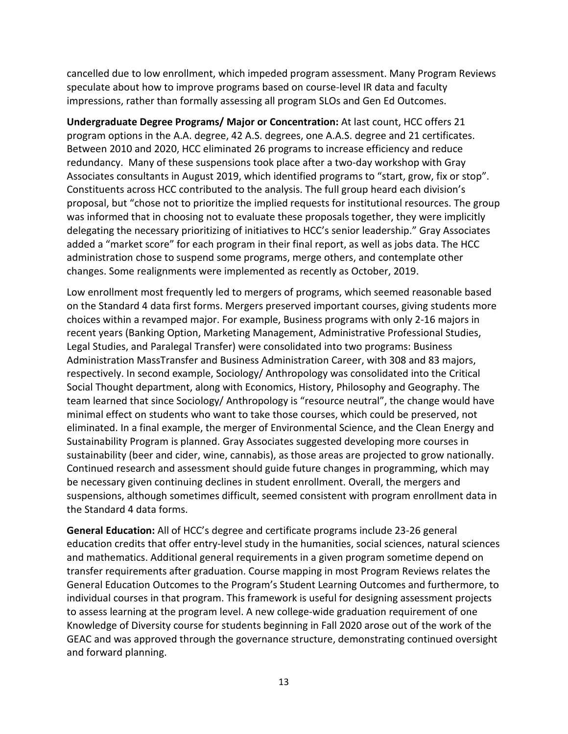cancelled due to low enrollment, which impeded program assessment. Many Program Reviews speculate about how to improve programs based on course-level IR data and faculty impressions, rather than formally assessing all program SLOs and Gen Ed Outcomes.

**Undergraduate Degree Programs/ Major or Concentration:** At last count, HCC offers 21 program options in the A.A. degree, 42 A.S. degrees, one A.A.S. degree and 21 certificates. Between 2010 and 2020, HCC eliminated 26 programs to increase efficiency and reduce redundancy. Many of these suspensions took place after a two-day workshop with Gray Associates consultants in August 2019, which identified programs to "start, grow, fix or stop". Constituents across HCC contributed to the analysis. The full group heard each division's proposal, but "chose not to prioritize the implied requests for institutional resources. The group was informed that in choosing not to evaluate these proposals together, they were implicitly delegating the necessary prioritizing of initiatives to HCC's senior leadership." Gray Associates added a "market score" for each program in their final report, as well as jobs data. The HCC administration chose to suspend some programs, merge others, and contemplate other changes. Some realignments were implemented as recently as October, 2019.

Low enrollment most frequently led to mergers of programs, which seemed reasonable based on the Standard 4 data first forms. Mergers preserved important courses, giving students more choices within a revamped major. For example, Business programs with only 2-16 majors in recent years (Banking Option, Marketing Management, Administrative Professional Studies, Legal Studies, and Paralegal Transfer) were consolidated into two programs: Business Administration MassTransfer and Business Administration Career, with 308 and 83 majors, respectively. In second example, Sociology/ Anthropology was consolidated into the Critical Social Thought department, along with Economics, History, Philosophy and Geography. The team learned that since Sociology/ Anthropology is "resource neutral", the change would have minimal effect on students who want to take those courses, which could be preserved, not eliminated. In a final example, the merger of Environmental Science, and the Clean Energy and Sustainability Program is planned. Gray Associates suggested developing more courses in sustainability (beer and cider, wine, cannabis), as those areas are projected to grow nationally. Continued research and assessment should guide future changes in programming, which may be necessary given continuing declines in student enrollment. Overall, the mergers and suspensions, although sometimes difficult, seemed consistent with program enrollment data in the Standard 4 data forms.

**General Education:** All of HCC's degree and certificate programs include 23-26 general education credits that offer entry-level study in the humanities, social sciences, natural sciences and mathematics. Additional general requirements in a given program sometime depend on transfer requirements after graduation. Course mapping in most Program Reviews relates the General Education Outcomes to the Program's Student Learning Outcomes and furthermore, to individual courses in that program. This framework is useful for designing assessment projects to assess learning at the program level. A new college-wide graduation requirement of one Knowledge of Diversity course for students beginning in Fall 2020 arose out of the work of the GEAC and was approved through the governance structure, demonstrating continued oversight and forward planning.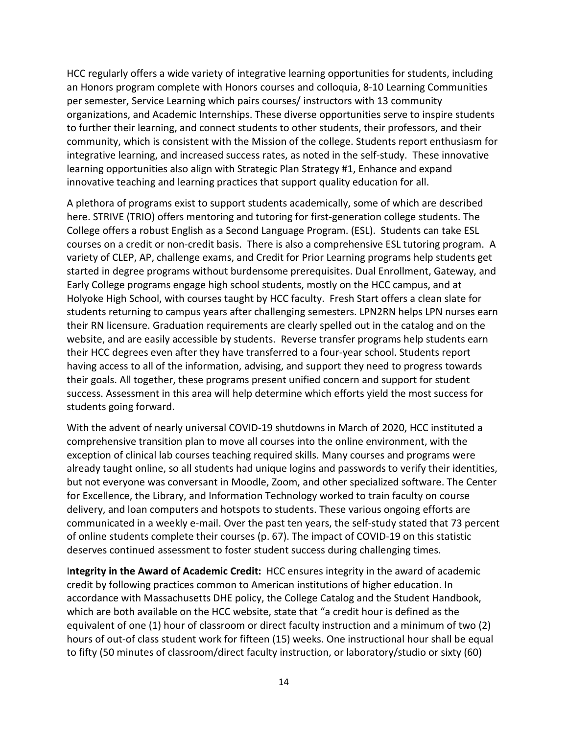HCC regularly offers a wide variety of integrative learning opportunities for students, including an Honors program complete with Honors courses and colloquia, 8-10 Learning Communities per semester, Service Learning which pairs courses/ instructors with 13 community organizations, and Academic Internships. These diverse opportunities serve to inspire students to further their learning, and connect students to other students, their professors, and their community, which is consistent with the Mission of the college. Students report enthusiasm for integrative learning, and increased success rates, as noted in the self-study. These innovative learning opportunities also align with Strategic Plan Strategy #1, Enhance and expand innovative teaching and learning practices that support quality education for all.

A plethora of programs exist to support students academically, some of which are described here. STRIVE (TRIO) offers mentoring and tutoring for first-generation college students. The College offers a robust English as a Second Language Program. (ESL). Students can take ESL courses on a credit or non-credit basis. There is also a comprehensive ESL tutoring program. A variety of CLEP, AP, challenge exams, and Credit for Prior Learning programs help students get started in degree programs without burdensome prerequisites. Dual Enrollment, Gateway, and Early College programs engage high school students, mostly on the HCC campus, and at Holyoke High School, with courses taught by HCC faculty. Fresh Start offers a clean slate for students returning to campus years after challenging semesters. LPN2RN helps LPN nurses earn their RN licensure. Graduation requirements are clearly spelled out in the catalog and on the website, and are easily accessible by students. Reverse transfer programs help students earn their HCC degrees even after they have transferred to a four-year school. Students report having access to all of the information, advising, and support they need to progress towards their goals. All together, these programs present unified concern and support for student success. Assessment in this area will help determine which efforts yield the most success for students going forward.

With the advent of nearly universal COVID-19 shutdowns in March of 2020, HCC instituted a comprehensive transition plan to move all courses into the online environment, with the exception of clinical lab courses teaching required skills. Many courses and programs were already taught online, so all students had unique logins and passwords to verify their identities, but not everyone was conversant in Moodle, Zoom, and other specialized software. The Center for Excellence, the Library, and Information Technology worked to train faculty on course delivery, and loan computers and hotspots to students. These various ongoing efforts are communicated in a weekly e-mail. Over the past ten years, the self-study stated that 73 percent of online students complete their courses (p. 67). The impact of COVID-19 on this statistic deserves continued assessment to foster student success during challenging times.

I**ntegrity in the Award of Academic Credit:** HCC ensures integrity in the award of academic credit by following practices common to American institutions of higher education. In accordance with Massachusetts DHE policy, the College Catalog and the Student Handbook, which are both available on the HCC website, state that "a credit hour is defined as the equivalent of one (1) hour of classroom or direct faculty instruction and a minimum of two (2) hours of out-of class student work for fifteen (15) weeks. One instructional hour shall be equal to fifty (50 minutes of classroom/direct faculty instruction, or laboratory/studio or sixty (60)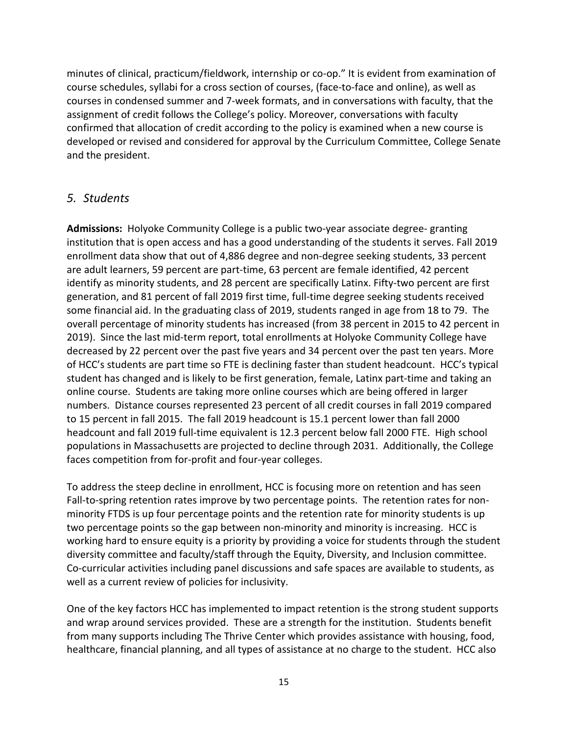minutes of clinical, practicum/fieldwork, internship or co-op." It is evident from examination of course schedules, syllabi for a cross section of courses, (face-to-face and online), as well as courses in condensed summer and 7-week formats, and in conversations with faculty, that the assignment of credit follows the College's policy. Moreover, conversations with faculty confirmed that allocation of credit according to the policy is examined when a new course is developed or revised and considered for approval by the Curriculum Committee, College Senate and the president.

### *5. Students*

**Admissions:** Holyoke Community College is a public two-year associate degree- granting institution that is open access and has a good understanding of the students it serves. Fall 2019 enrollment data show that out of 4,886 degree and non-degree seeking students, 33 percent are adult learners, 59 percent are part-time, 63 percent are female identified, 42 percent identify as minority students, and 28 percent are specifically Latinx. Fifty-two percent are first generation, and 81 percent of fall 2019 first time, full-time degree seeking students received some financial aid. In the graduating class of 2019, students ranged in age from 18 to 79. The overall percentage of minority students has increased (from 38 percent in 2015 to 42 percent in 2019). Since the last mid-term report, total enrollments at Holyoke Community College have decreased by 22 percent over the past five years and 34 percent over the past ten years. More of HCC's students are part time so FTE is declining faster than student headcount. HCC's typical student has changed and is likely to be first generation, female, Latinx part-time and taking an online course. Students are taking more online courses which are being offered in larger numbers. Distance courses represented 23 percent of all credit courses in fall 2019 compared to 15 percent in fall 2015. The fall 2019 headcount is 15.1 percent lower than fall 2000 headcount and fall 2019 full-time equivalent is 12.3 percent below fall 2000 FTE. High school populations in Massachusetts are projected to decline through 2031. Additionally, the College faces competition from for-profit and four-year colleges.

To address the steep decline in enrollment, HCC is focusing more on retention and has seen Fall-to-spring retention rates improve by two percentage points. The retention rates for nonminority FTDS is up four percentage points and the retention rate for minority students is up two percentage points so the gap between non-minority and minority is increasing. HCC is working hard to ensure equity is a priority by providing a voice for students through the student diversity committee and faculty/staff through the Equity, Diversity, and Inclusion committee. Co-curricular activities including panel discussions and safe spaces are available to students, as well as a current review of policies for inclusivity.

One of the key factors HCC has implemented to impact retention is the strong student supports and wrap around services provided. These are a strength for the institution. Students benefit from many supports including The Thrive Center which provides assistance with housing, food, healthcare, financial planning, and all types of assistance at no charge to the student. HCC also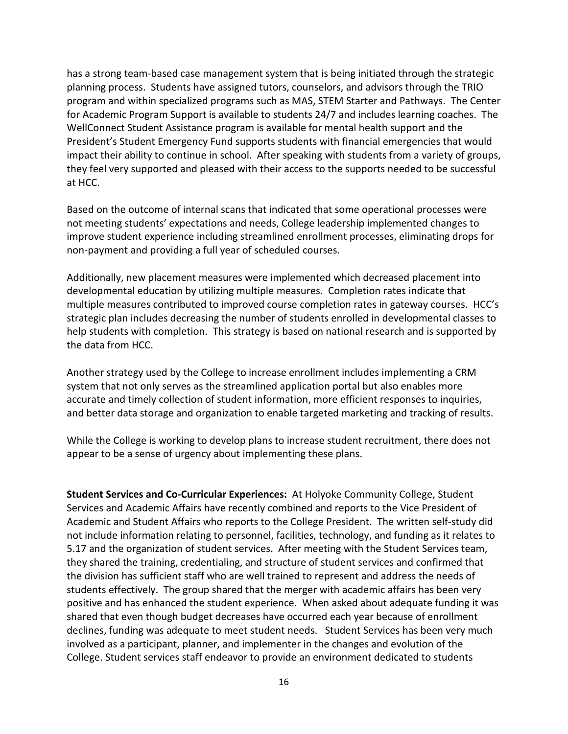has a strong team-based case management system that is being initiated through the strategic planning process. Students have assigned tutors, counselors, and advisors through the TRIO program and within specialized programs such as MAS, STEM Starter and Pathways. The Center for Academic Program Support is available to students 24/7 and includes learning coaches. The WellConnect Student Assistance program is available for mental health support and the President's Student Emergency Fund supports students with financial emergencies that would impact their ability to continue in school. After speaking with students from a variety of groups, they feel very supported and pleased with their access to the supports needed to be successful at HCC.

Based on the outcome of internal scans that indicated that some operational processes were not meeting students' expectations and needs, College leadership implemented changes to improve student experience including streamlined enrollment processes, eliminating drops for non-payment and providing a full year of scheduled courses.

Additionally, new placement measures were implemented which decreased placement into developmental education by utilizing multiple measures. Completion rates indicate that multiple measures contributed to improved course completion rates in gateway courses. HCC's strategic plan includes decreasing the number of students enrolled in developmental classes to help students with completion. This strategy is based on national research and is supported by the data from HCC.

Another strategy used by the College to increase enrollment includes implementing a CRM system that not only serves as the streamlined application portal but also enables more accurate and timely collection of student information, more efficient responses to inquiries, and better data storage and organization to enable targeted marketing and tracking of results.

While the College is working to develop plans to increase student recruitment, there does not appear to be a sense of urgency about implementing these plans.

**Student Services and Co-Curricular Experiences:** At Holyoke Community College, Student Services and Academic Affairs have recently combined and reports to the Vice President of Academic and Student Affairs who reports to the College President. The written self-study did not include information relating to personnel, facilities, technology, and funding as it relates to 5.17 and the organization of student services. After meeting with the Student Services team, they shared the training, credentialing, and structure of student services and confirmed that the division has sufficient staff who are well trained to represent and address the needs of students effectively. The group shared that the merger with academic affairs has been very positive and has enhanced the student experience. When asked about adequate funding it was shared that even though budget decreases have occurred each year because of enrollment declines, funding was adequate to meet student needs. Student Services has been very much involved as a participant, planner, and implementer in the changes and evolution of the College. Student services staff endeavor to provide an environment dedicated to students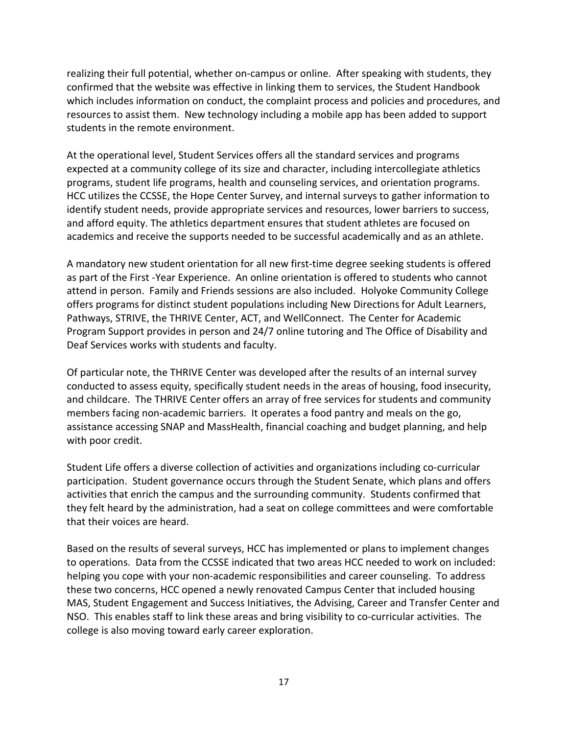realizing their full potential, whether on-campus or online. After speaking with students, they confirmed that the website was effective in linking them to services, the Student Handbook which includes information on conduct, the complaint process and policies and procedures, and resources to assist them. New technology including a mobile app has been added to support students in the remote environment.

At the operational level, Student Services offers all the standard services and programs expected at a community college of its size and character, including intercollegiate athletics programs, student life programs, health and counseling services, and orientation programs. HCC utilizes the CCSSE, the Hope Center Survey, and internal surveys to gather information to identify student needs, provide appropriate services and resources, lower barriers to success, and afford equity. The athletics department ensures that student athletes are focused on academics and receive the supports needed to be successful academically and as an athlete.

A mandatory new student orientation for all new first-time degree seeking students is offered as part of the First -Year Experience. An online orientation is offered to students who cannot attend in person. Family and Friends sessions are also included. Holyoke Community College offers programs for distinct student populations including New Directions for Adult Learners, Pathways, STRIVE, the THRIVE Center, ACT, and WellConnect. The Center for Academic Program Support provides in person and 24/7 online tutoring and The Office of Disability and Deaf Services works with students and faculty.

Of particular note, the THRIVE Center was developed after the results of an internal survey conducted to assess equity, specifically student needs in the areas of housing, food insecurity, and childcare. The THRIVE Center offers an array of free services for students and community members facing non-academic barriers. It operates a food pantry and meals on the go, assistance accessing SNAP and MassHealth, financial coaching and budget planning, and help with poor credit.

Student Life offers a diverse collection of activities and organizations including co-curricular participation. Student governance occurs through the Student Senate, which plans and offers activities that enrich the campus and the surrounding community. Students confirmed that they felt heard by the administration, had a seat on college committees and were comfortable that their voices are heard.

Based on the results of several surveys, HCC has implemented or plans to implement changes to operations. Data from the CCSSE indicated that two areas HCC needed to work on included: helping you cope with your non-academic responsibilities and career counseling. To address these two concerns, HCC opened a newly renovated Campus Center that included housing MAS, Student Engagement and Success Initiatives, the Advising, Career and Transfer Center and NSO. This enables staff to link these areas and bring visibility to co-curricular activities. The college is also moving toward early career exploration.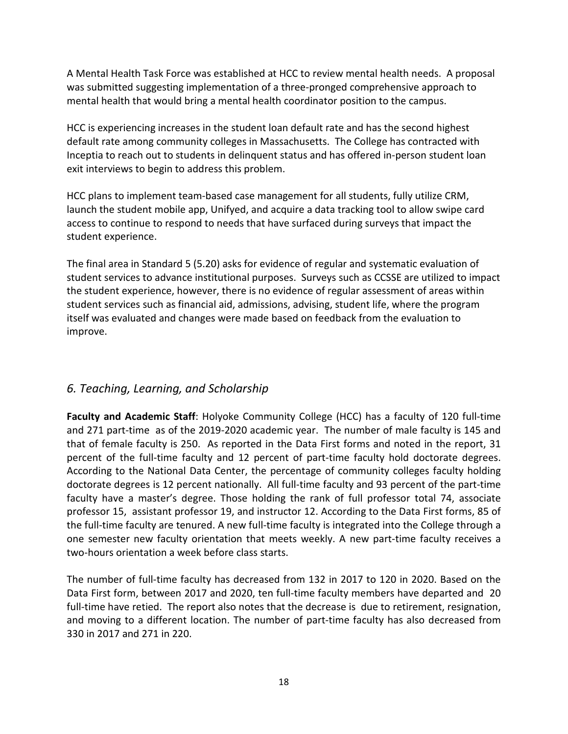A Mental Health Task Force was established at HCC to review mental health needs. A proposal was submitted suggesting implementation of a three-pronged comprehensive approach to mental health that would bring a mental health coordinator position to the campus.

HCC is experiencing increases in the student loan default rate and has the second highest default rate among community colleges in Massachusetts. The College has contracted with Inceptia to reach out to students in delinquent status and has offered in-person student loan exit interviews to begin to address this problem.

HCC plans to implement team-based case management for all students, fully utilize CRM, launch the student mobile app, Unifyed, and acquire a data tracking tool to allow swipe card access to continue to respond to needs that have surfaced during surveys that impact the student experience.

The final area in Standard 5 (5.20) asks for evidence of regular and systematic evaluation of student services to advance institutional purposes. Surveys such as CCSSE are utilized to impact the student experience, however, there is no evidence of regular assessment of areas within student services such as financial aid, admissions, advising, student life, where the program itself was evaluated and changes were made based on feedback from the evaluation to improve.

# *6. Teaching, Learning, and Scholarship*

**Faculty and Academic Staff**: Holyoke Community College (HCC) has a faculty of 120 full-time and 271 part-time as of the 2019-2020 academic year. The number of male faculty is 145 and that of female faculty is 250. As reported in the Data First forms and noted in the report, 31 percent of the full-time faculty and 12 percent of part-time faculty hold doctorate degrees. According to the National Data Center, the percentage of community colleges faculty holding doctorate degrees is 12 percent nationally. All full-time faculty and 93 percent of the part-time faculty have a master's degree. Those holding the rank of full professor total 74, associate professor 15, assistant professor 19, and instructor 12. According to the Data First forms, 85 of the full-time faculty are tenured. A new full-time faculty is integrated into the College through a one semester new faculty orientation that meets weekly. A new part-time faculty receives a two-hours orientation a week before class starts.

The number of full-time faculty has decreased from 132 in 2017 to 120 in 2020. Based on the Data First form, between 2017 and 2020, ten full-time faculty members have departed and 20 full-time have retied. The report also notes that the decrease is due to retirement, resignation, and moving to a different location. The number of part-time faculty has also decreased from 330 in 2017 and 271 in 220.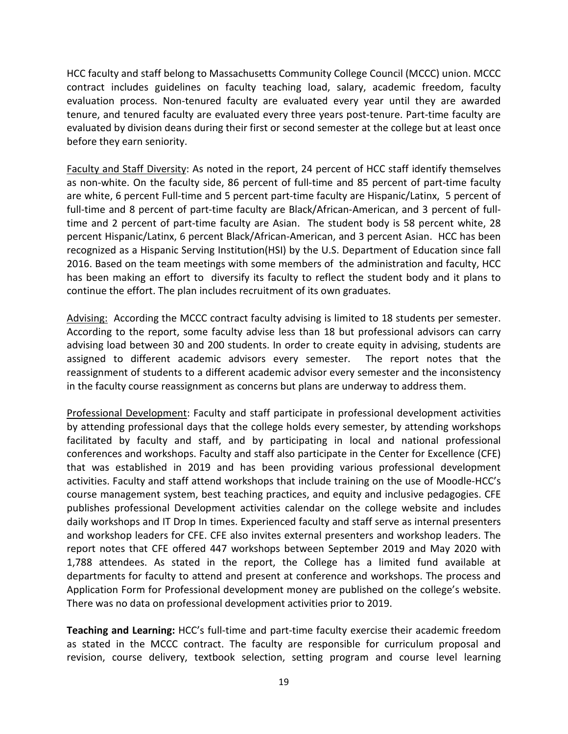HCC faculty and staff belong to Massachusetts Community College Council (MCCC) union. MCCC contract includes guidelines on faculty teaching load, salary, academic freedom, faculty evaluation process. Non-tenured faculty are evaluated every year until they are awarded tenure, and tenured faculty are evaluated every three years post-tenure. Part-time faculty are evaluated by division deans during their first or second semester at the college but at least once before they earn seniority.

Faculty and Staff Diversity: As noted in the report, 24 percent of HCC staff identify themselves as non-white. On the faculty side, 86 percent of full-time and 85 percent of part-time faculty are white, 6 percent Full-time and 5 percent part-time faculty are Hispanic/Latinx, 5 percent of full-time and 8 percent of part-time faculty are Black/African-American, and 3 percent of fulltime and 2 percent of part-time faculty are Asian. The student body is 58 percent white, 28 percent Hispanic/Latinx, 6 percent Black/African-American, and 3 percent Asian. HCC has been recognized as a Hispanic Serving Institution(HSI) by the U.S. Department of Education since fall 2016. Based on the team meetings with some members of the administration and faculty, HCC has been making an effort to diversify its faculty to reflect the student body and it plans to continue the effort. The plan includes recruitment of its own graduates.

Advising: According the MCCC contract faculty advising is limited to 18 students per semester. According to the report, some faculty advise less than 18 but professional advisors can carry advising load between 30 and 200 students. In order to create equity in advising, students are assigned to different academic advisors every semester. The report notes that the reassignment of students to a different academic advisor every semester and the inconsistency in the faculty course reassignment as concerns but plans are underway to address them.

Professional Development: Faculty and staff participate in professional development activities by attending professional days that the college holds every semester, by attending workshops facilitated by faculty and staff, and by participating in local and national professional conferences and workshops. Faculty and staff also participate in the Center for Excellence (CFE) that was established in 2019 and has been providing various professional development activities. Faculty and staff attend workshops that include training on the use of Moodle-HCC's course management system, best teaching practices, and equity and inclusive pedagogies. CFE publishes professional Development activities calendar on the college website and includes daily workshops and IT Drop In times. Experienced faculty and staff serve as internal presenters and workshop leaders for CFE. CFE also invites external presenters and workshop leaders. The report notes that CFE offered 447 workshops between September 2019 and May 2020 with 1,788 attendees. As stated in the report, the College has a limited fund available at departments for faculty to attend and present at conference and workshops. The process and Application Form for Professional development money are published on the college's website. There was no data on professional development activities prior to 2019.

**Teaching and Learning:** HCC's full-time and part-time faculty exercise their academic freedom as stated in the MCCC contract. The faculty are responsible for curriculum proposal and revision, course delivery, textbook selection, setting program and course level learning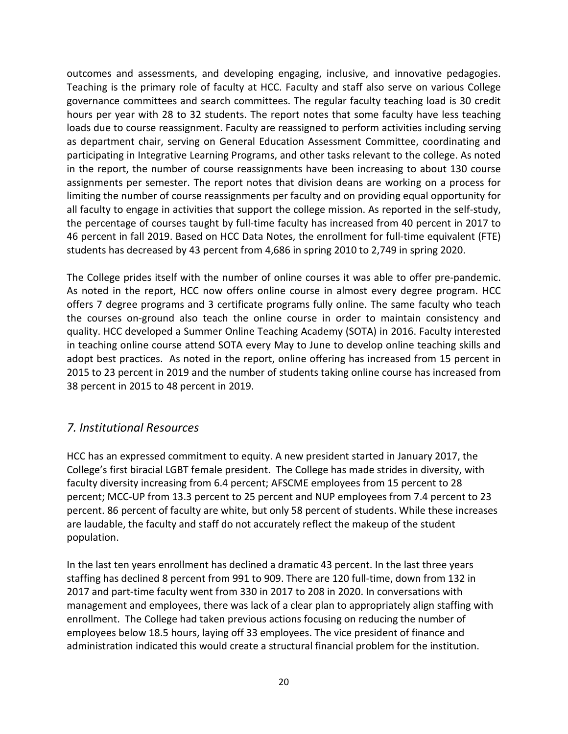outcomes and assessments, and developing engaging, inclusive, and innovative pedagogies. Teaching is the primary role of faculty at HCC. Faculty and staff also serve on various College governance committees and search committees. The regular faculty teaching load is 30 credit hours per year with 28 to 32 students. The report notes that some faculty have less teaching loads due to course reassignment. Faculty are reassigned to perform activities including serving as department chair, serving on General Education Assessment Committee, coordinating and participating in Integrative Learning Programs, and other tasks relevant to the college. As noted in the report, the number of course reassignments have been increasing to about 130 course assignments per semester. The report notes that division deans are working on a process for limiting the number of course reassignments per faculty and on providing equal opportunity for all faculty to engage in activities that support the college mission. As reported in the self-study, the percentage of courses taught by full-time faculty has increased from 40 percent in 2017 to 46 percent in fall 2019. Based on HCC Data Notes, the enrollment for full-time equivalent (FTE) students has decreased by 43 percent from 4,686 in spring 2010 to 2,749 in spring 2020.

The College prides itself with the number of online courses it was able to offer pre-pandemic. As noted in the report, HCC now offers online course in almost every degree program. HCC offers 7 degree programs and 3 certificate programs fully online. The same faculty who teach the courses on-ground also teach the online course in order to maintain consistency and quality. HCC developed a Summer Online Teaching Academy (SOTA) in 2016. Faculty interested in teaching online course attend SOTA every May to June to develop online teaching skills and adopt best practices. As noted in the report, online offering has increased from 15 percent in 2015 to 23 percent in 2019 and the number of students taking online course has increased from 38 percent in 2015 to 48 percent in 2019.

### *7. Institutional Resources*

HCC has an expressed commitment to equity. A new president started in January 2017, the College's first biracial LGBT female president. The College has made strides in diversity, with faculty diversity increasing from 6.4 percent; AFSCME employees from 15 percent to 28 percent; MCC-UP from 13.3 percent to 25 percent and NUP employees from 7.4 percent to 23 percent. 86 percent of faculty are white, but only 58 percent of students. While these increases are laudable, the faculty and staff do not accurately reflect the makeup of the student population.

In the last ten years enrollment has declined a dramatic 43 percent. In the last three years staffing has declined 8 percent from 991 to 909. There are 120 full-time, down from 132 in 2017 and part-time faculty went from 330 in 2017 to 208 in 2020. In conversations with management and employees, there was lack of a clear plan to appropriately align staffing with enrollment. The College had taken previous actions focusing on reducing the number of employees below 18.5 hours, laying off 33 employees. The vice president of finance and administration indicated this would create a structural financial problem for the institution.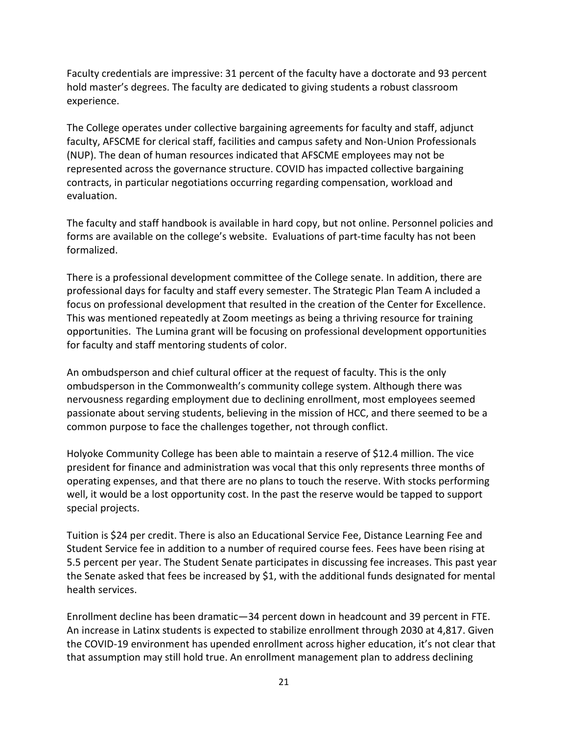Faculty credentials are impressive: 31 percent of the faculty have a doctorate and 93 percent hold master's degrees. The faculty are dedicated to giving students a robust classroom experience.

The College operates under collective bargaining agreements for faculty and staff, adjunct faculty, AFSCME for clerical staff, facilities and campus safety and Non-Union Professionals (NUP). The dean of human resources indicated that AFSCME employees may not be represented across the governance structure. COVID has impacted collective bargaining contracts, in particular negotiations occurring regarding compensation, workload and evaluation.

The faculty and staff handbook is available in hard copy, but not online. Personnel policies and forms are available on the college's website. Evaluations of part-time faculty has not been formalized.

There is a professional development committee of the College senate. In addition, there are professional days for faculty and staff every semester. The Strategic Plan Team A included a focus on professional development that resulted in the creation of the Center for Excellence. This was mentioned repeatedly at Zoom meetings as being a thriving resource for training opportunities. The Lumina grant will be focusing on professional development opportunities for faculty and staff mentoring students of color.

An ombudsperson and chief cultural officer at the request of faculty. This is the only ombudsperson in the Commonwealth's community college system. Although there was nervousness regarding employment due to declining enrollment, most employees seemed passionate about serving students, believing in the mission of HCC, and there seemed to be a common purpose to face the challenges together, not through conflict.

Holyoke Community College has been able to maintain a reserve of \$12.4 million. The vice president for finance and administration was vocal that this only represents three months of operating expenses, and that there are no plans to touch the reserve. With stocks performing well, it would be a lost opportunity cost. In the past the reserve would be tapped to support special projects.

Tuition is \$24 per credit. There is also an Educational Service Fee, Distance Learning Fee and Student Service fee in addition to a number of required course fees. Fees have been rising at 5.5 percent per year. The Student Senate participates in discussing fee increases. This past year the Senate asked that fees be increased by \$1, with the additional funds designated for mental health services.

Enrollment decline has been dramatic—34 percent down in headcount and 39 percent in FTE. An increase in Latinx students is expected to stabilize enrollment through 2030 at 4,817. Given the COVID-19 environment has upended enrollment across higher education, it's not clear that that assumption may still hold true. An enrollment management plan to address declining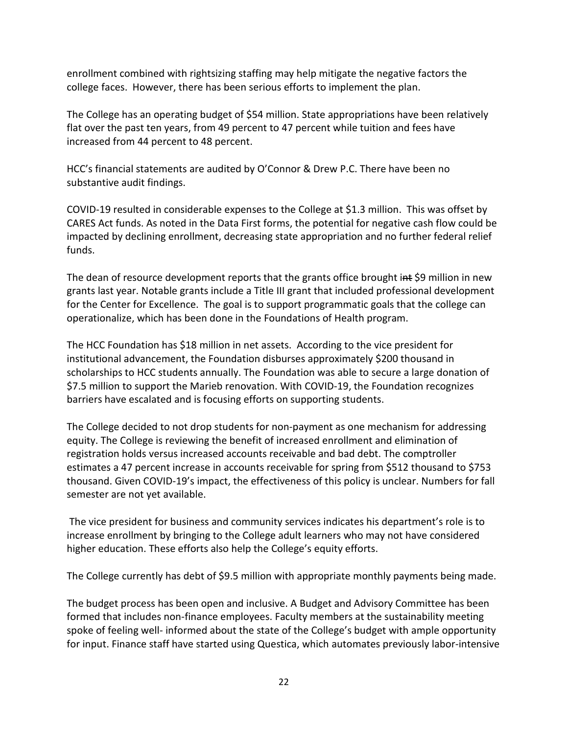enrollment combined with rightsizing staffing may help mitigate the negative factors the college faces. However, there has been serious efforts to implement the plan.

The College has an operating budget of \$54 million. State appropriations have been relatively flat over the past ten years, from 49 percent to 47 percent while tuition and fees have increased from 44 percent to 48 percent.

HCC's financial statements are audited by O'Connor & Drew P.C. There have been no substantive audit findings.

COVID-19 resulted in considerable expenses to the College at \$1.3 million. This was offset by CARES Act funds. As noted in the Data First forms, the potential for negative cash flow could be impacted by declining enrollment, decreasing state appropriation and no further federal relief funds.

The dean of resource development reports that the grants office brought  $int$  \$9 million in new grants last year. Notable grants include a Title III grant that included professional development for the Center for Excellence. The goal is to support programmatic goals that the college can operationalize, which has been done in the Foundations of Health program.

The HCC Foundation has \$18 million in net assets. According to the vice president for institutional advancement, the Foundation disburses approximately \$200 thousand in scholarships to HCC students annually. The Foundation was able to secure a large donation of \$7.5 million to support the Marieb renovation. With COVID-19, the Foundation recognizes barriers have escalated and is focusing efforts on supporting students.

The College decided to not drop students for non-payment as one mechanism for addressing equity. The College is reviewing the benefit of increased enrollment and elimination of registration holds versus increased accounts receivable and bad debt. The comptroller estimates a 47 percent increase in accounts receivable for spring from \$512 thousand to \$753 thousand. Given COVID-19's impact, the effectiveness of this policy is unclear. Numbers for fall semester are not yet available.

The vice president for business and community services indicates his department's role is to increase enrollment by bringing to the College adult learners who may not have considered higher education. These efforts also help the College's equity efforts.

The College currently has debt of \$9.5 million with appropriate monthly payments being made.

The budget process has been open and inclusive. A Budget and Advisory Committee has been formed that includes non-finance employees. Faculty members at the sustainability meeting spoke of feeling well- informed about the state of the College's budget with ample opportunity for input. Finance staff have started using Questica, which automates previously labor-intensive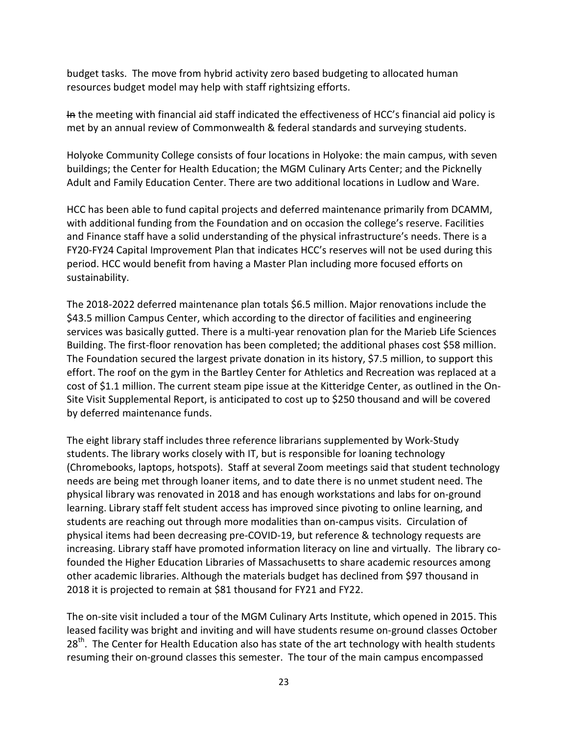budget tasks. The move from hybrid activity zero based budgeting to allocated human resources budget model may help with staff rightsizing efforts.

In the meeting with financial aid staff indicated the effectiveness of HCC's financial aid policy is met by an annual review of Commonwealth & federal standards and surveying students.

Holyoke Community College consists of four locations in Holyoke: the main campus, with seven buildings; the Center for Health Education; the MGM Culinary Arts Center; and the Picknelly Adult and Family Education Center. There are two additional locations in Ludlow and Ware.

HCC has been able to fund capital projects and deferred maintenance primarily from DCAMM, with additional funding from the Foundation and on occasion the college's reserve. Facilities and Finance staff have a solid understanding of the physical infrastructure's needs. There is a FY20-FY24 Capital Improvement Plan that indicates HCC's reserves will not be used during this period. HCC would benefit from having a Master Plan including more focused efforts on sustainability.

The 2018-2022 deferred maintenance plan totals \$6.5 million. Major renovations include the \$43.5 million Campus Center, which according to the director of facilities and engineering services was basically gutted. There is a multi-year renovation plan for the Marieb Life Sciences Building. The first-floor renovation has been completed; the additional phases cost \$58 million. The Foundation secured the largest private donation in its history, \$7.5 million, to support this effort. The roof on the gym in the Bartley Center for Athletics and Recreation was replaced at a cost of \$1.1 million. The current steam pipe issue at the Kitteridge Center, as outlined in the On-Site Visit Supplemental Report, is anticipated to cost up to \$250 thousand and will be covered by deferred maintenance funds.

The eight library staff includes three reference librarians supplemented by Work-Study students. The library works closely with IT, but is responsible for loaning technology (Chromebooks, laptops, hotspots). Staff at several Zoom meetings said that student technology needs are being met through loaner items, and to date there is no unmet student need. The physical library was renovated in 2018 and has enough workstations and labs for on-ground learning. Library staff felt student access has improved since pivoting to online learning, and students are reaching out through more modalities than on-campus visits. Circulation of physical items had been decreasing pre-COVID-19, but reference & technology requests are increasing. Library staff have promoted information literacy on line and virtually. The library cofounded the Higher Education Libraries of Massachusetts to share academic resources among other academic libraries. Although the materials budget has declined from \$97 thousand in 2018 it is projected to remain at \$81 thousand for FY21 and FY22.

The on-site visit included a tour of the MGM Culinary Arts Institute, which opened in 2015. This leased facility was bright and inviting and will have students resume on-ground classes October 28<sup>th</sup>. The Center for Health Education also has state of the art technology with health students resuming their on-ground classes this semester. The tour of the main campus encompassed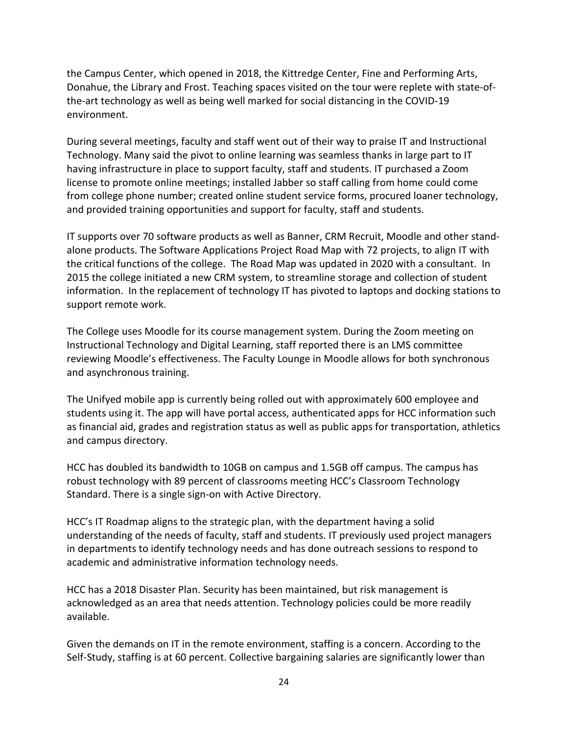the Campus Center, which opened in 2018, the Kittredge Center, Fine and Performing Arts, Donahue, the Library and Frost. Teaching spaces visited on the tour were replete with state-ofthe-art technology as well as being well marked for social distancing in the COVID-19 environment.

During several meetings, faculty and staff went out of their way to praise IT and Instructional Technology. Many said the pivot to online learning was seamless thanks in large part to IT having infrastructure in place to support faculty, staff and students. IT purchased a Zoom license to promote online meetings; installed Jabber so staff calling from home could come from college phone number; created online student service forms, procured loaner technology, and provided training opportunities and support for faculty, staff and students.

IT supports over 70 software products as well as Banner, CRM Recruit, Moodle and other standalone products. The Software Applications Project Road Map with 72 projects, to align IT with the critical functions of the college. The Road Map was updated in 2020 with a consultant. In 2015 the college initiated a new CRM system, to streamline storage and collection of student information. In the replacement of technology IT has pivoted to laptops and docking stations to support remote work.

The College uses Moodle for its course management system. During the Zoom meeting on Instructional Technology and Digital Learning, staff reported there is an LMS committee reviewing Moodle's effectiveness. The Faculty Lounge in Moodle allows for both synchronous and asynchronous training.

The Unifyed mobile app is currently being rolled out with approximately 600 employee and students using it. The app will have portal access, authenticated apps for HCC information such as financial aid, grades and registration status as well as public apps for transportation, athletics and campus directory.

HCC has doubled its bandwidth to 10GB on campus and 1.5GB off campus. The campus has robust technology with 89 percent of classrooms meeting HCC's Classroom Technology Standard. There is a single sign-on with Active Directory.

HCC's IT Roadmap aligns to the strategic plan, with the department having a solid understanding of the needs of faculty, staff and students. IT previously used project managers in departments to identify technology needs and has done outreach sessions to respond to academic and administrative information technology needs.

HCC has a 2018 Disaster Plan. Security has been maintained, but risk management is acknowledged as an area that needs attention. Technology policies could be more readily available.

Given the demands on IT in the remote environment, staffing is a concern. According to the Self-Study, staffing is at 60 percent. Collective bargaining salaries are significantly lower than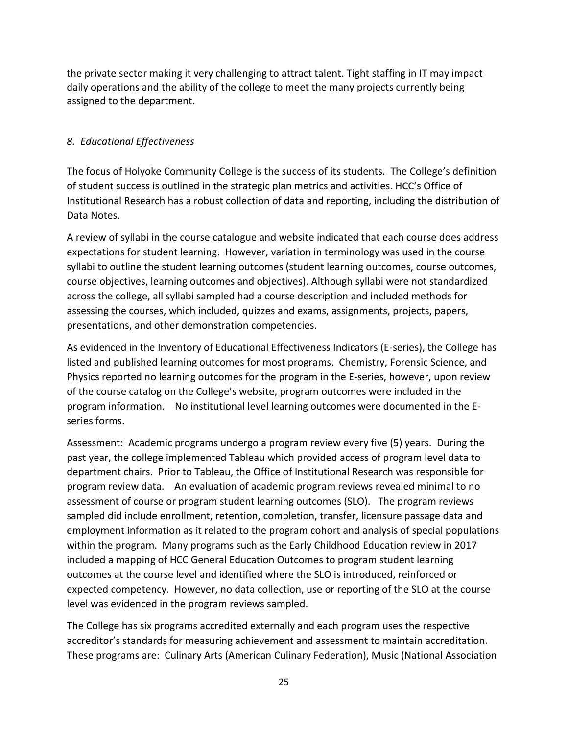the private sector making it very challenging to attract talent. Tight staffing in IT may impact daily operations and the ability of the college to meet the many projects currently being assigned to the department.

### *8. Educational Effectiveness*

The focus of Holyoke Community College is the success of its students. The College's definition of student success is outlined in the strategic plan metrics and activities. HCC's Office of Institutional Research has a robust collection of data and reporting, including the distribution of Data Notes.

A review of syllabi in the course catalogue and website indicated that each course does address expectations for student learning. However, variation in terminology was used in the course syllabi to outline the student learning outcomes (student learning outcomes, course outcomes, course objectives, learning outcomes and objectives). Although syllabi were not standardized across the college, all syllabi sampled had a course description and included methods for assessing the courses, which included, quizzes and exams, assignments, projects, papers, presentations, and other demonstration competencies.

As evidenced in the Inventory of Educational Effectiveness Indicators (E-series), the College has listed and published learning outcomes for most programs. Chemistry, Forensic Science, and Physics reported no learning outcomes for the program in the E-series, however, upon review of the course catalog on the College's website, program outcomes were included in the program information. No institutional level learning outcomes were documented in the Eseries forms.

Assessment: Academic programs undergo a program review every five (5) years. During the past year, the college implemented Tableau which provided access of program level data to department chairs. Prior to Tableau, the Office of Institutional Research was responsible for program review data. An evaluation of academic program reviews revealed minimal to no assessment of course or program student learning outcomes (SLO). The program reviews sampled did include enrollment, retention, completion, transfer, licensure passage data and employment information as it related to the program cohort and analysis of special populations within the program. Many programs such as the Early Childhood Education review in 2017 included a mapping of HCC General Education Outcomes to program student learning outcomes at the course level and identified where the SLO is introduced, reinforced or expected competency. However, no data collection, use or reporting of the SLO at the course level was evidenced in the program reviews sampled.

The College has six programs accredited externally and each program uses the respective accreditor's standards for measuring achievement and assessment to maintain accreditation. These programs are: Culinary Arts (American Culinary Federation), Music (National Association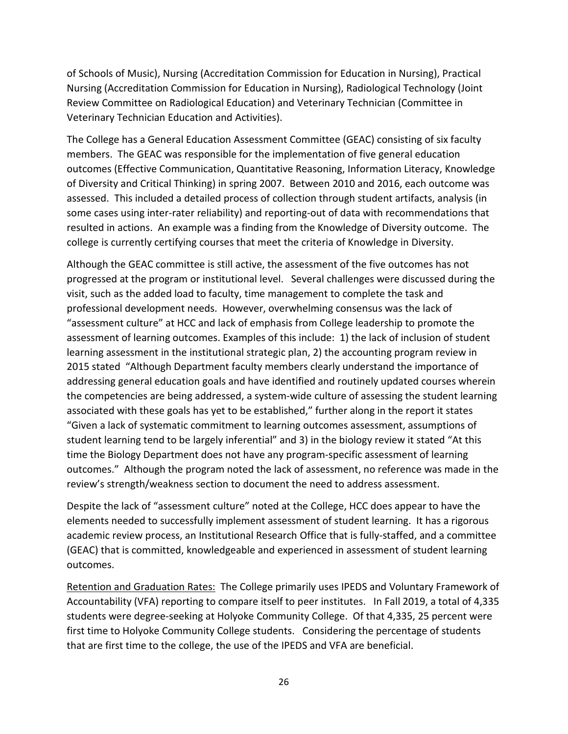of Schools of Music), Nursing (Accreditation Commission for Education in Nursing), Practical Nursing (Accreditation Commission for Education in Nursing), Radiological Technology (Joint Review Committee on Radiological Education) and Veterinary Technician (Committee in Veterinary Technician Education and Activities).

The College has a General Education Assessment Committee (GEAC) consisting of six faculty members. The GEAC was responsible for the implementation of five general education outcomes (Effective Communication, Quantitative Reasoning, Information Literacy, Knowledge of Diversity and Critical Thinking) in spring 2007. Between 2010 and 2016, each outcome was assessed. This included a detailed process of collection through student artifacts, analysis (in some cases using inter-rater reliability) and reporting-out of data with recommendations that resulted in actions. An example was a finding from the Knowledge of Diversity outcome. The college is currently certifying courses that meet the criteria of Knowledge in Diversity.

Although the GEAC committee is still active, the assessment of the five outcomes has not progressed at the program or institutional level. Several challenges were discussed during the visit, such as the added load to faculty, time management to complete the task and professional development needs. However, overwhelming consensus was the lack of "assessment culture" at HCC and lack of emphasis from College leadership to promote the assessment of learning outcomes. Examples of this include: 1) the lack of inclusion of student learning assessment in the institutional strategic plan, 2) the accounting program review in 2015 stated "Although Department faculty members clearly understand the importance of addressing general education goals and have identified and routinely updated courses wherein the competencies are being addressed, a system-wide culture of assessing the student learning associated with these goals has yet to be established," further along in the report it states "Given a lack of systematic commitment to learning outcomes assessment, assumptions of student learning tend to be largely inferential" and 3) in the biology review it stated "At this time the Biology Department does not have any program-specific assessment of learning outcomes." Although the program noted the lack of assessment, no reference was made in the review's strength/weakness section to document the need to address assessment.

Despite the lack of "assessment culture" noted at the College, HCC does appear to have the elements needed to successfully implement assessment of student learning. It has a rigorous academic review process, an Institutional Research Office that is fully-staffed, and a committee (GEAC) that is committed, knowledgeable and experienced in assessment of student learning outcomes.

Retention and Graduation Rates:The College primarily uses IPEDS and Voluntary Framework of Accountability (VFA) reporting to compare itself to peer institutes. In Fall 2019, a total of 4,335 students were degree-seeking at Holyoke Community College. Of that 4,335, 25 percent were first time to Holyoke Community College students. Considering the percentage of students that are first time to the college, the use of the IPEDS and VFA are beneficial.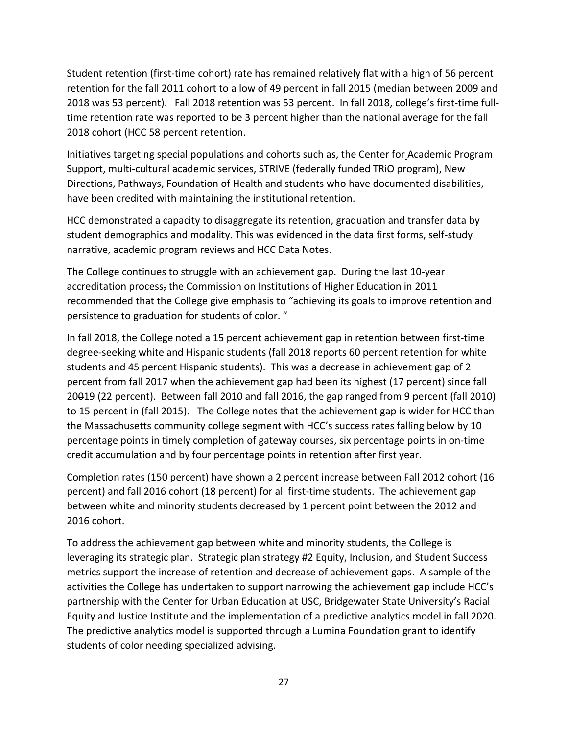Student retention (first-time cohort) rate has remained relatively flat with a high of 56 percent retention for the fall 2011 cohort to a low of 49 percent in fall 2015 (median between 2009 and 2018 was 53 percent). Fall 2018 retention was 53 percent. In fall 2018, college's first-time fulltime retention rate was reported to be 3 percent higher than the national average for the fall 2018 cohort (HCC 58 percent retention.

Initiatives targeting special populations and cohorts such as, the Center for Academic Program Support, multi-cultural academic services, STRIVE (federally funded TRiO program), New Directions, Pathways, Foundation of Health and students who have documented disabilities, have been credited with maintaining the institutional retention.

HCC demonstrated a capacity to disaggregate its retention, graduation and transfer data by student demographics and modality. This was evidenced in the data first forms, self-study narrative, academic program reviews and HCC Data Notes.

The College continues to struggle with an achievement gap. During the last 10-year accreditation process, the Commission on Institutions of Higher Education in 2011 recommended that the College give emphasis to "achieving its goals to improve retention and persistence to graduation for students of color. "

In fall 2018, the College noted a 15 percent achievement gap in retention between first-time degree-seeking white and Hispanic students (fall 2018 reports 60 percent retention for white students and 45 percent Hispanic students). This was a decrease in achievement gap of 2 percent from fall 2017 when the achievement gap had been its highest (17 percent) since fall 20019 (22 percent). Between fall 2010 and fall 2016, the gap ranged from 9 percent (fall 2010) to 15 percent in (fall 2015). The College notes that the achievement gap is wider for HCC than the Massachusetts community college segment with HCC's success rates falling below by 10 percentage points in timely completion of gateway courses, six percentage points in on-time credit accumulation and by four percentage points in retention after first year.

Completion rates (150 percent) have shown a 2 percent increase between Fall 2012 cohort (16 percent) and fall 2016 cohort (18 percent) for all first-time students. The achievement gap between white and minority students decreased by 1 percent point between the 2012 and 2016 cohort.

To address the achievement gap between white and minority students, the College is leveraging its strategic plan. Strategic plan strategy #2 Equity, Inclusion, and Student Success metrics support the increase of retention and decrease of achievement gaps. A sample of the activities the College has undertaken to support narrowing the achievement gap include HCC's partnership with the Center for Urban Education at USC, Bridgewater State University's Racial Equity and Justice Institute and the implementation of a predictive analytics model in fall 2020. The predictive analytics model is supported through a Lumina Foundation grant to identify students of color needing specialized advising.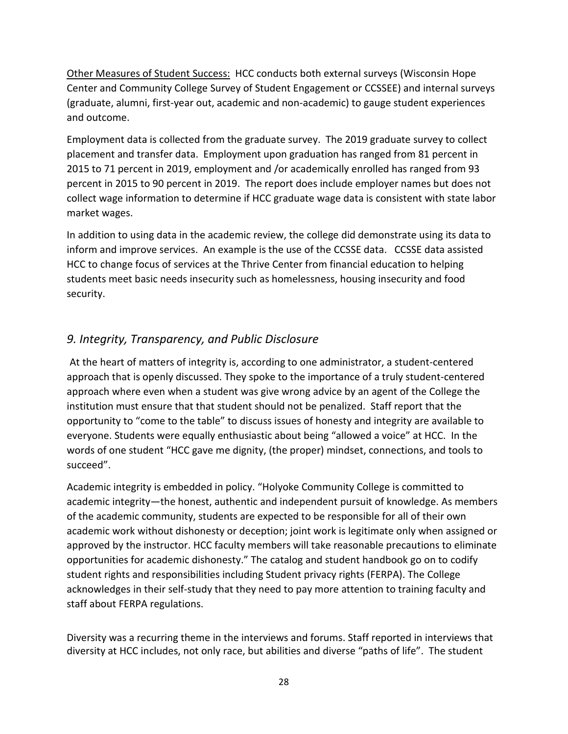Other Measures of Student Success:HCC conducts both external surveys (Wisconsin Hope Center and Community College Survey of Student Engagement or CCSSEE) and internal surveys (graduate, alumni, first-year out, academic and non-academic) to gauge student experiences and outcome.

Employment data is collected from the graduate survey. The 2019 graduate survey to collect placement and transfer data. Employment upon graduation has ranged from 81 percent in 2015 to 71 percent in 2019, employment and /or academically enrolled has ranged from 93 percent in 2015 to 90 percent in 2019. The report does include employer names but does not collect wage information to determine if HCC graduate wage data is consistent with state labor market wages.

In addition to using data in the academic review, the college did demonstrate using its data to inform and improve services. An example is the use of the CCSSE data. CCSSE data assisted HCC to change focus of services at the Thrive Center from financial education to helping students meet basic needs insecurity such as homelessness, housing insecurity and food security.

# *9. Integrity, Transparency, and Public Disclosure*

At the heart of matters of integrity is, according to one administrator, a student-centered approach that is openly discussed. They spoke to the importance of a truly student-centered approach where even when a student was give wrong advice by an agent of the College the institution must ensure that that student should not be penalized. Staff report that the opportunity to "come to the table" to discuss issues of honesty and integrity are available to everyone. Students were equally enthusiastic about being "allowed a voice" at HCC. In the words of one student "HCC gave me dignity, (the proper) mindset, connections, and tools to succeed".

Academic integrity is embedded in policy. "Holyoke Community College is committed to academic integrity—the honest, authentic and independent pursuit of knowledge. As members of the academic community, students are expected to be responsible for all of their own academic work without dishonesty or deception; joint work is legitimate only when assigned or approved by the instructor. HCC faculty members will take reasonable precautions to eliminate opportunities for academic dishonesty." The catalog and student handbook go on to codify student rights and responsibilities including Student privacy rights (FERPA). The College acknowledges in their self-study that they need to pay more attention to training faculty and staff about FERPA regulations.

Diversity was a recurring theme in the interviews and forums. Staff reported in interviews that diversity at HCC includes, not only race, but abilities and diverse "paths of life". The student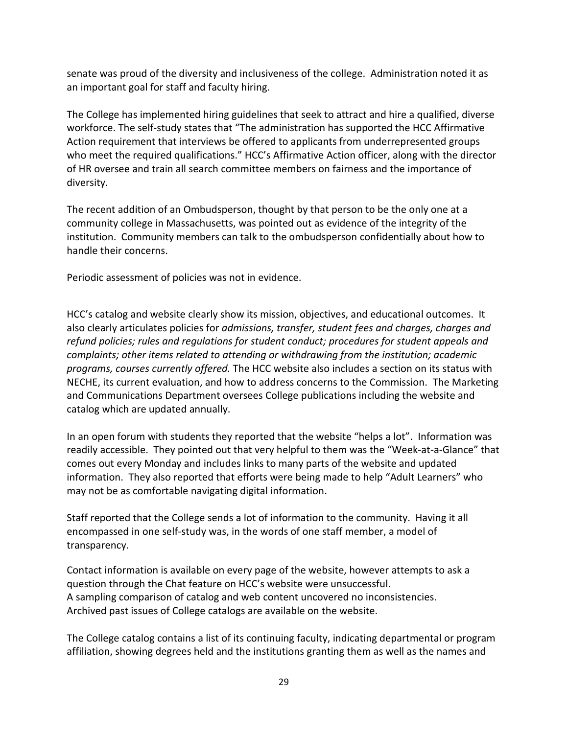senate was proud of the diversity and inclusiveness of the college. Administration noted it as an important goal for staff and faculty hiring.

The College has implemented hiring guidelines that seek to attract and hire a qualified, diverse workforce. The self-study states that "The administration has supported the HCC Affirmative Action requirement that interviews be offered to applicants from underrepresented groups who meet the required qualifications." HCC's Affirmative Action officer, along with the director of HR oversee and train all search committee members on fairness and the importance of diversity.

The recent addition of an Ombudsperson, thought by that person to be the only one at a community college in Massachusetts, was pointed out as evidence of the integrity of the institution. Community members can talk to the ombudsperson confidentially about how to handle their concerns.

Periodic assessment of policies was not in evidence.

HCC's catalog and website clearly show its mission, objectives, and educational outcomes. It also clearly articulates policies for *admissions, transfer, student fees and charges, charges and refund policies; rules and regulations for student conduct; procedures for student appeals and complaints; other items related to attending or withdrawing from the institution; academic programs, courses currently offered.* The HCC website also includes a section on its status with NECHE, its current evaluation, and how to address concerns to the Commission. The Marketing and Communications Department oversees College publications including the website and catalog which are updated annually.

In an open forum with students they reported that the website "helps a lot". Information was readily accessible. They pointed out that very helpful to them was the "Week-at-a-Glance" that comes out every Monday and includes links to many parts of the website and updated information. They also reported that efforts were being made to help "Adult Learners" who may not be as comfortable navigating digital information.

Staff reported that the College sends a lot of information to the community. Having it all encompassed in one self-study was, in the words of one staff member, a model of transparency.

Contact information is available on every page of the website, however attempts to ask a question through the Chat feature on HCC's website were unsuccessful. A sampling comparison of catalog and web content uncovered no inconsistencies. Archived past issues of College catalogs are available on the website.

The College catalog contains a list of its continuing faculty, indicating departmental or program affiliation, showing degrees held and the institutions granting them as well as the names and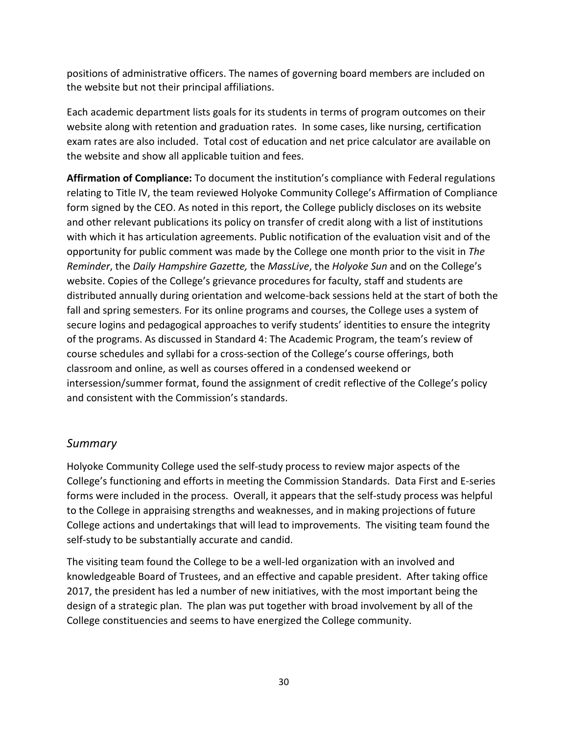positions of administrative officers. The names of governing board members are included on the website but not their principal affiliations.

Each academic department lists goals for its students in terms of program outcomes on their website along with retention and graduation rates. In some cases, like nursing, certification exam rates are also included. Total cost of education and net price calculator are available on the website and show all applicable tuition and fees.

**Affirmation of Compliance:** To document the institution's compliance with Federal regulations relating to Title IV, the team reviewed Holyoke Community College's Affirmation of Compliance form signed by the CEO. As noted in this report, the College publicly discloses on its website and other relevant publications its policy on transfer of credit along with a list of institutions with which it has articulation agreements. Public notification of the evaluation visit and of the opportunity for public comment was made by the College one month prior to the visit in *The Reminder*, the *Daily Hampshire Gazette,* the *MassLive*, the *Holyoke Sun* and on the College's website. Copies of the College's grievance procedures for faculty, staff and students are distributed annually during orientation and welcome-back sessions held at the start of both the fall and spring semesters. For its online programs and courses, the College uses a system of secure logins and pedagogical approaches to verify students' identities to ensure the integrity of the programs. As discussed in Standard 4: The Academic Program, the team's review of course schedules and syllabi for a cross-section of the College's course offerings, both classroom and online, as well as courses offered in a condensed weekend or intersession/summer format, found the assignment of credit reflective of the College's policy and consistent with the Commission's standards.

# *Summary*

Holyoke Community College used the self-study process to review major aspects of the College's functioning and efforts in meeting the Commission Standards. Data First and E-series forms were included in the process. Overall, it appears that the self-study process was helpful to the College in appraising strengths and weaknesses, and in making projections of future College actions and undertakings that will lead to improvements. The visiting team found the self-study to be substantially accurate and candid.

The visiting team found the College to be a well-led organization with an involved and knowledgeable Board of Trustees, and an effective and capable president. After taking office 2017, the president has led a number of new initiatives, with the most important being the design of a strategic plan. The plan was put together with broad involvement by all of the College constituencies and seems to have energized the College community.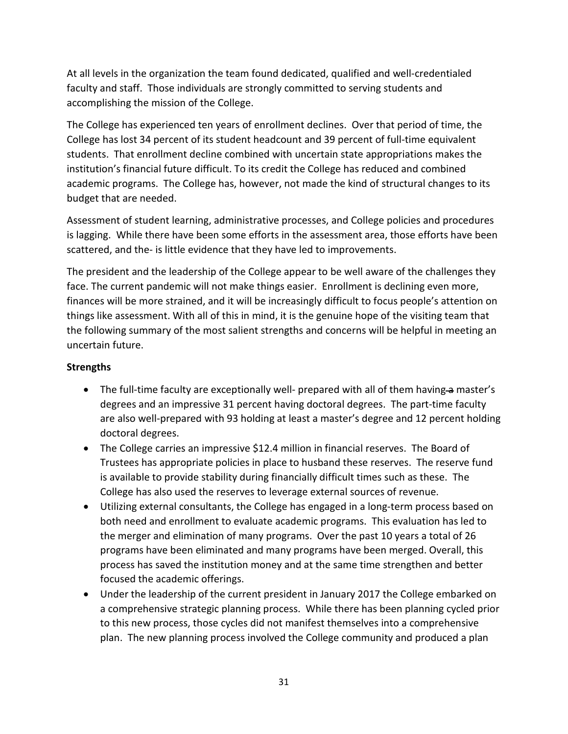At all levels in the organization the team found dedicated, qualified and well-credentialed faculty and staff. Those individuals are strongly committed to serving students and accomplishing the mission of the College.

The College has experienced ten years of enrollment declines. Over that period of time, the College has lost 34 percent of its student headcount and 39 percent of full-time equivalent students. That enrollment decline combined with uncertain state appropriations makes the institution's financial future difficult. To its credit the College has reduced and combined academic programs. The College has, however, not made the kind of structural changes to its budget that are needed.

Assessment of student learning, administrative processes, and College policies and procedures is lagging. While there have been some efforts in the assessment area, those efforts have been scattered, and the- is little evidence that they have led to improvements.

The president and the leadership of the College appear to be well aware of the challenges they face. The current pandemic will not make things easier. Enrollment is declining even more, finances will be more strained, and it will be increasingly difficult to focus people's attention on things like assessment. With all of this in mind, it is the genuine hope of the visiting team that the following summary of the most salient strengths and concerns will be helpful in meeting an uncertain future.

### **Strengths**

- The full-time faculty are exceptionally well- prepared with all of them having-a master's degrees and an impressive 31 percent having doctoral degrees. The part-time faculty are also well-prepared with 93 holding at least a master's degree and 12 percent holding doctoral degrees.
- The College carries an impressive \$12.4 million in financial reserves. The Board of Trustees has appropriate policies in place to husband these reserves. The reserve fund is available to provide stability during financially difficult times such as these. The College has also used the reserves to leverage external sources of revenue.
- Utilizing external consultants, the College has engaged in a long-term process based on both need and enrollment to evaluate academic programs. This evaluation has led to the merger and elimination of many programs. Over the past 10 years a total of 26 programs have been eliminated and many programs have been merged. Overall, this process has saved the institution money and at the same time strengthen and better focused the academic offerings.
- Under the leadership of the current president in January 2017 the College embarked on a comprehensive strategic planning process. While there has been planning cycled prior to this new process, those cycles did not manifest themselves into a comprehensive plan. The new planning process involved the College community and produced a plan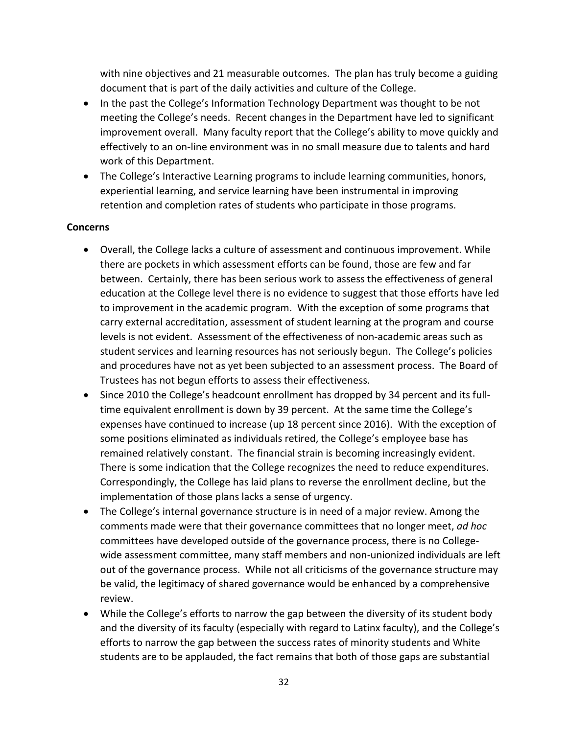with nine objectives and 21 measurable outcomes. The plan has truly become a guiding document that is part of the daily activities and culture of the College.

- In the past the College's Information Technology Department was thought to be not meeting the College's needs. Recent changes in the Department have led to significant improvement overall. Many faculty report that the College's ability to move quickly and effectively to an on-line environment was in no small measure due to talents and hard work of this Department.
- The College's Interactive Learning programs to include learning communities, honors, experiential learning, and service learning have been instrumental in improving retention and completion rates of students who participate in those programs.

#### **Concerns**

- Overall, the College lacks a culture of assessment and continuous improvement. While there are pockets in which assessment efforts can be found, those are few and far between. Certainly, there has been serious work to assess the effectiveness of general education at the College level there is no evidence to suggest that those efforts have led to improvement in the academic program. With the exception of some programs that carry external accreditation, assessment of student learning at the program and course levels is not evident. Assessment of the effectiveness of non-academic areas such as student services and learning resources has not seriously begun. The College's policies and procedures have not as yet been subjected to an assessment process. The Board of Trustees has not begun efforts to assess their effectiveness.
- Since 2010 the College's headcount enrollment has dropped by 34 percent and its fulltime equivalent enrollment is down by 39 percent. At the same time the College's expenses have continued to increase (up 18 percent since 2016). With the exception of some positions eliminated as individuals retired, the College's employee base has remained relatively constant. The financial strain is becoming increasingly evident. There is some indication that the College recognizes the need to reduce expenditures. Correspondingly, the College has laid plans to reverse the enrollment decline, but the implementation of those plans lacks a sense of urgency.
- The College's internal governance structure is in need of a major review. Among the comments made were that their governance committees that no longer meet, *ad hoc*  committees have developed outside of the governance process, there is no Collegewide assessment committee, many staff members and non-unionized individuals are left out of the governance process. While not all criticisms of the governance structure may be valid, the legitimacy of shared governance would be enhanced by a comprehensive review.
- While the College's efforts to narrow the gap between the diversity of its student body and the diversity of its faculty (especially with regard to Latinx faculty), and the College's efforts to narrow the gap between the success rates of minority students and White students are to be applauded, the fact remains that both of those gaps are substantial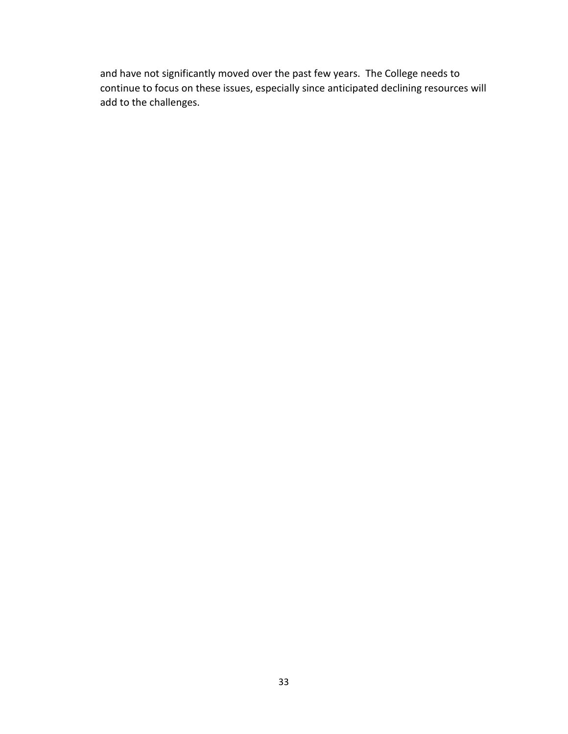and have not significantly moved over the past few years. The College needs to continue to focus on these issues, especially since anticipated declining resources will add to the challenges.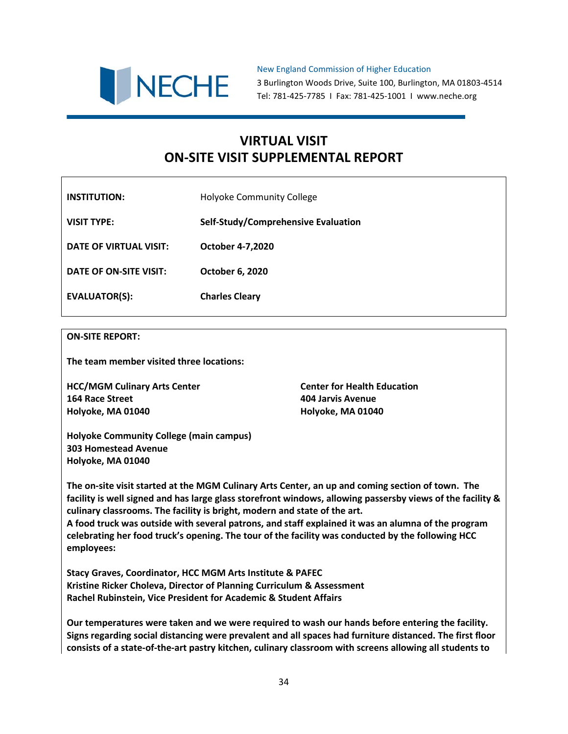

New England Commission of Higher Education 3 Burlington Woods Drive, Suite 100, Burlington, MA 01803-4514 Tel: 781-425-7785 I Fax: 781-425-1001 I www.neche.org

# **VIRTUAL VISIT ON-SITE VISIT SUPPLEMENTAL REPORT**

| <b>INSTITUTION:</b>    | <b>Holyoke Community College</b>    |
|------------------------|-------------------------------------|
| <b>VISIT TYPE:</b>     | Self-Study/Comprehensive Evaluation |
| DATE OF VIRTUAL VISIT: | <b>October 4-7,2020</b>             |
| DATE OF ON-SITE VISIT: | <b>October 6, 2020</b>              |
| <b>EVALUATOR(S):</b>   | <b>Charles Cleary</b>               |

#### **ON-SITE REPORT:**

**The team member visited three locations:**

**HCC/MGM Culinary Arts Center Center for Health Education 164 Race Street 404 Jarvis Avenue Holyoke, MA 01040 Holyoke, MA 01040**

**Holyoke Community College (main campus) 303 Homestead Avenue Holyoke, MA 01040**

**The on-site visit started at the MGM Culinary Arts Center, an up and coming section of town. The facility is well signed and has large glass storefront windows, allowing passersby views of the facility & culinary classrooms. The facility is bright, modern and state of the art. A food truck was outside with several patrons, and staff explained it was an alumna of the program celebrating her food truck's opening. The tour of the facility was conducted by the following HCC employees:**

**Stacy Graves, Coordinator, HCC MGM Arts Institute & PAFEC Kristine Ricker Choleva, Director of Planning Curriculum & Assessment Rachel Rubinstein, Vice President for Academic & Student Affairs**

**Our temperatures were taken and we were required to wash our hands before entering the facility. Signs regarding social distancing were prevalent and all spaces had furniture distanced. The first floor consists of a state-of-the-art pastry kitchen, culinary classroom with screens allowing all students to**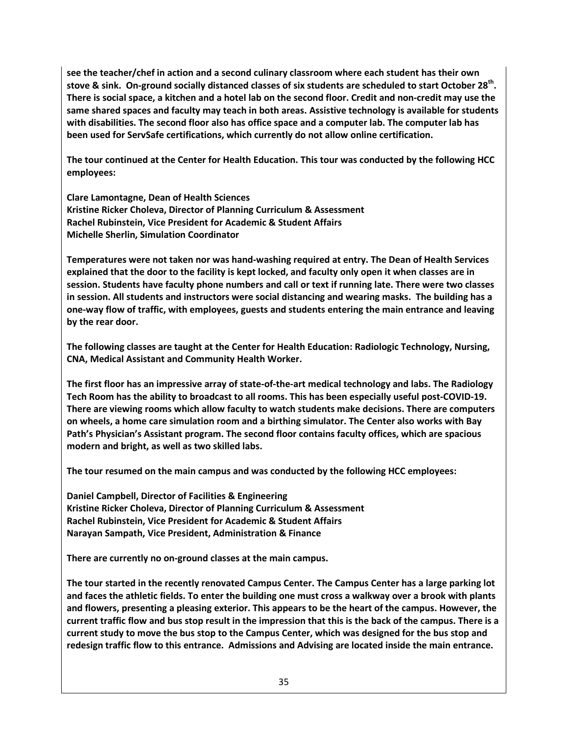**see the teacher/chef in action and a second culinary classroom where each student has their own stove & sink. On-ground socially distanced classes of six students are scheduled to start October 28th. There is social space, a kitchen and a hotel lab on the second floor. Credit and non-credit may use the same shared spaces and faculty may teach in both areas. Assistive technology is available for students with disabilities. The second floor also has office space and a computer lab. The computer lab has been used for ServSafe certifications, which currently do not allow online certification.**

**The tour continued at the Center for Health Education. This tour was conducted by the following HCC employees:**

**Clare Lamontagne, Dean of Health Sciences Kristine Ricker Choleva, Director of Planning Curriculum & Assessment Rachel Rubinstein, Vice President for Academic & Student Affairs Michelle Sherlin, Simulation Coordinator**

**Temperatures were not taken nor was hand-washing required at entry. The Dean of Health Services explained that the door to the facility is kept locked, and faculty only open it when classes are in session. Students have faculty phone numbers and call or text if running late. There were two classes in session. All students and instructors were social distancing and wearing masks. The building has a one-way flow of traffic, with employees, guests and students entering the main entrance and leaving by the rear door.** 

**The following classes are taught at the Center for Health Education: Radiologic Technology, Nursing, CNA, Medical Assistant and Community Health Worker.**

**The first floor has an impressive array of state-of-the-art medical technology and labs. The Radiology Tech Room has the ability to broadcast to all rooms. This has been especially useful post-COVID-19. There are viewing rooms which allow faculty to watch students make decisions. There are computers on wheels, a home care simulation room and a birthing simulator. The Center also works with Bay Path's Physician's Assistant program. The second floor contains faculty offices, which are spacious modern and bright, as well as two skilled labs.**

**The tour resumed on the main campus and was conducted by the following HCC employees:**

**Daniel Campbell, Director of Facilities & Engineering Kristine Ricker Choleva, Director of Planning Curriculum & Assessment Rachel Rubinstein, Vice President for Academic & Student Affairs Narayan Sampath, Vice President, Administration & Finance**

**There are currently no on-ground classes at the main campus.**

**The tour started in the recently renovated Campus Center. The Campus Center has a large parking lot and faces the athletic fields. To enter the building one must cross a walkway over a brook with plants and flowers, presenting a pleasing exterior. This appears to be the heart of the campus. However, the current traffic flow and bus stop result in the impression that this is the back of the campus. There is a current study to move the bus stop to the Campus Center, which was designed for the bus stop and redesign traffic flow to this entrance. Admissions and Advising are located inside the main entrance.**